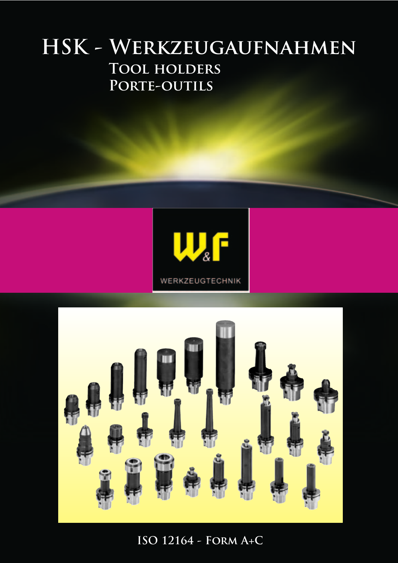# **HSK - Werkzeugaufnahmen Tool holders** PORTE-OUTILS





**ISO 12164 - Form A+C**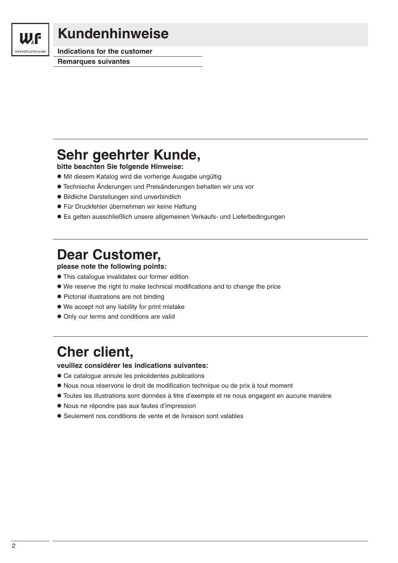

### **Kundenhinweise**

**Indications for the customer Remarques suivantes**

### **Sehr geehrter Kunde,**

**bitte beachten Sie folgende Hinweise:**

- Mit diesem Katalog wird die vorherige Ausgabe ungültig
- Technische Änderungen und Preisänderungen behalten wir uns vor
- Bildliche Darstellungen sind unverbindlich
- Für Druckfehler übernehmen wir keine Haftung
- Es gelten ausschließlich unsere allgemeinen Verkaufs- und Lieferbedingungen

### **Dear Customer,**

**please note the following points:**

- This catalogue invalidates our former edition
- We reserve the right to make technical modifications and to change the price
- Pictorial illustrations are not binding
- We accept not any liability for print mistake
- Only our terms and conditions are valid

# **Cher client,**

**veuillez considérer les indications suivantes:**

- Ce catalogue annule les précédentes publications
- Nous nous réservons le droit de modification technique ou de prix à tout moment
- Toutes les illustrations sont données à titre d'exemple et ne nous engagent en aucune manière
- Nous ne répondre pas aux fautes d'impression
- Seulement nos conditions de vente et de livraison sont valables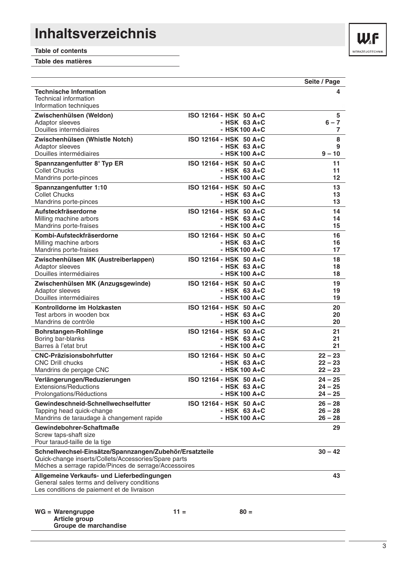# **Inhaltsverzeichnis**

**Table of contents**

**Table des matières**

|                                                                                                                                                                          |                        | Seite / Page |
|--------------------------------------------------------------------------------------------------------------------------------------------------------------------------|------------------------|--------------|
| <b>Technische Information</b><br>Technical information<br>Information techniques                                                                                         |                        | 4            |
| Zwischenhülsen (Weldon)                                                                                                                                                  | ISO 12164 - HSK 50 A+C | 5            |
| Adaptor sleeves                                                                                                                                                          | - HSK $63A+C$          | $6 - 7$      |
| Douilles intermédiaires                                                                                                                                                  | - HSK 100 A+C          | 7            |
| Zwischenhülsen (Whistle Notch)                                                                                                                                           | ISO 12164 - HSK 50 A+C | 8            |
| Adaptor sleeves                                                                                                                                                          | - HSK $63A+C$          | 9            |
| Douilles intermédiaires                                                                                                                                                  | - HSK 100 A+C          | $9 - 10$     |
| Spannzangenfutter 8° Typ ER                                                                                                                                              | ISO 12164 - HSK 50 A+C | 11           |
| <b>Collet Chucks</b>                                                                                                                                                     | - HSK $63A+C$          | 11           |
| Mandrins porte-pinces                                                                                                                                                    | - HSK 100 A+C          | 12           |
| Spannzangenfutter 1:10                                                                                                                                                   | ISO 12164 - HSK 50 A+C | 13           |
| <b>Collet Chucks</b>                                                                                                                                                     | - HSK $63A+C$          | 13           |
| Mandrins porte-pinces                                                                                                                                                    | - HSK 100 A+C          | 13           |
| Aufsteckfräserdorne                                                                                                                                                      | ISO 12164 - HSK 50 A+C | 14           |
| Milling machine arbors                                                                                                                                                   | $-HSK$ 63 A+C          | 14           |
| Mandrins porte-fraises                                                                                                                                                   | - HSK 100 A+C          | 15           |
| Kombi-Aufsteckfräserdorne                                                                                                                                                | ISO 12164 - HSK 50 A+C | 16           |
| Milling machine arbors                                                                                                                                                   | $-HSK$ 63 A+C          | 16           |
| Mandrins porte-fraises                                                                                                                                                   | - HSK 100 A+C          | 17           |
| Zwischenhülsen MK (Austreiberlappen)                                                                                                                                     | ISO 12164 - HSK 50 A+C | 18           |
| Adaptor sleeves                                                                                                                                                          | $-HSK$ 63 A+C          | 18           |
| Douilles intermédiaires                                                                                                                                                  | - HSK100 A+C           | 18           |
| Zwischenhülsen MK (Anzugsgewinde)                                                                                                                                        | ISO 12164 - HSK 50 A+C | 19           |
| Adaptor sleeves                                                                                                                                                          | - HSK $63$ A+C         | 19           |
| Douilles intermédiaires                                                                                                                                                  | - HSK 100 A+C          | 19           |
| Kontrolldorne im Holzkasten                                                                                                                                              | ISO 12164 - HSK 50 A+C | 20           |
| Test arbors in wooden box                                                                                                                                                | $-HSK$ 63 A+C          | 20           |
| Mandrins de contrôle                                                                                                                                                     | - HSK 100 A+C          | 20           |
| <b>Bohrstangen-Rohlinge</b>                                                                                                                                              | ISO 12164 - HSK 50 A+C | 21           |
| Boring bar-blanks                                                                                                                                                        | $-HSK$ 63 A+C          | 21           |
| Barres à l'etat brut                                                                                                                                                     | $-HSK100 A+C$          | 21           |
| <b>CNC-Präzisionsbohrfutter</b>                                                                                                                                          | ISO 12164 - HSK 50 A+C | $22 - 23$    |
| <b>CNC Drill chucks</b>                                                                                                                                                  | $-HSK$ 63 A+C          | $22 - 23$    |
| Mandrins de perçage CNC                                                                                                                                                  | - HSK 100 A+C          | $22 - 23$    |
| Verlängerungen/Reduzierungen                                                                                                                                             | ISO 12164 - HSK 50 A+C | $24 - 25$    |
| <b>Extensions/Reductions</b>                                                                                                                                             | $-HSK$ 63 A+C          | 24 – 25      |
| Prolongations/Réductions                                                                                                                                                 | - HSK 100 A+C          | $24 - 25$    |
| Gewindeschneid-Schnellwechselfutter                                                                                                                                      | ISO 12164 - HSK 50 A+C | $26 - 28$    |
| Tapping head quick-change                                                                                                                                                | - HSK $63$ A+C         | $26 - 28$    |
| Mandrins de taraudage à changement rapide                                                                                                                                | - HSK 100 A+C          | $26 - 28$    |
| Gewindebohrer-Schaftmaße<br>Screw taps-shaft size<br>Pour taraud-taille de la tige                                                                                       |                        | 29           |
| Schnellwechsel-Einsätze/Spannzangen/Zubehör/Ersatzteile<br>Quick-change inserts/Collets/Accessories/Spare parts<br>Méches a serrage rapide/Pinces de serrage/Accessoires |                        | $30 - 42$    |
| Allgemeine Verkaufs- und Lieferbedingungen<br>General sales terms and delivery conditions<br>Les conditions de paiement et de livraison                                  |                        | 43           |
| $WG = Warengruppe$<br>Article group<br>Groupe de marchandise                                                                                                             | $11 =$<br>$80 =$       |              |

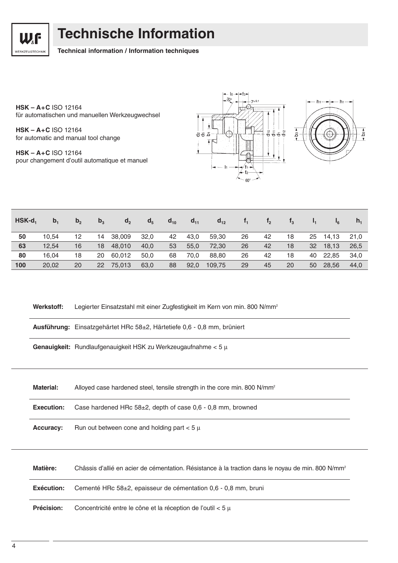

### **Technische Information**

#### **Technical information / Information techniques**

**HSK – A+C** ISO 12164 für automatischen und manuellen Werkzeugwechsel

**HSK – A+C** ISO 12164 for automatic and manual tool change

**HSK – A+C** ISO 12164 pour changement d'outil automatique et manuel



| $HSK-d_1$ | b <sub>1</sub> | b <sub>2</sub> | $b_3$ | d <sub>2</sub> | d <sub>5</sub> | $d_{10}$ | $d_{11}$ | $d_{12}$ |    | $t_{2}$ | $\mathbf{t}_3$ |    | $I_{6}$  | n <sub>1</sub> |
|-----------|----------------|----------------|-------|----------------|----------------|----------|----------|----------|----|---------|----------------|----|----------|----------------|
| 50        | 10.54          | 12             | 14    | 38.009         | 32,0           | 42       | 43.0     | 59,30    | 26 | 42      | 18             | 25 | 14.13    | 21.0           |
| 63        | 12.54          | 16             | 18    | 48,010         | 40,0           | 53       | 55,0     | 72,30    | 26 | 42      | 18             | 32 | 18.13    | 26.5           |
| 80        | 16.04          | 18             | 20    | 60.012         | 50.0           | 68       | 70.0     | 88,80    | 26 | 42      | 18             |    | 40 22,85 | 34.0           |
| 100       | 20,02          | 20             | 22    | 75,013         | 63,0           | 88       | 92,0     | 109,75   | 29 | 45      | 20             | 50 | 28.56    | 44.0           |

Werkstoff: Legierter Einsatzstahl mit einer Zugfestigkeit im Kern von min. 800 N/mm<sup>2</sup>

**Ausführung:** Einsatzgehärtet HRc 58±2, Härtetiefe 0,6 - 0,8 mm, brüniert

**Genauigkeit:** Rundlaufgenauigkeit HSK zu Werkzeugaufnahme < 5 µ

| <b>Material:</b>  | Alloyed case hardened steel, tensile strength in the core min. 800 N/mm <sup>2</sup> |
|-------------------|--------------------------------------------------------------------------------------|
| <b>Execution:</b> | Case hardened HRc $58\pm2$ , depth of case 0,6 - 0,8 mm, browned                     |
| <b>Accuracy:</b>  | Run out between cone and holding part $< 5 \mu$                                      |

Matière: Châssis d'allié en acier de cémentation. Résistance à la traction dans le noyau de min. 800 N/mm<sup>2</sup>

**Exécution:** Cementé HRc 58±2, epaisseur de cémentation 0,6 - 0,8 mm, bruni

**Précision:** Concentricité entre le cône et la réception de l'outil < 5 µ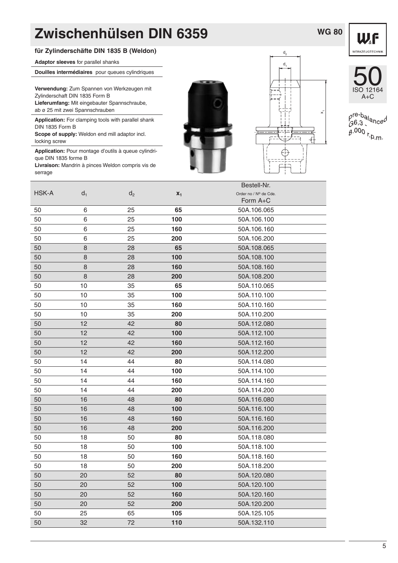### **WG 80**



#### **für Zylinderschäfte DIN 1835 B (Weldon)**

**Adaptor sleeves** for parallel shanks

**Douilles intermédiaires** pour queues cylindriques

**Verwendung:** Zum Spannen von Werkzeugen mit Zylinderschaft DIN 1835 Form B **Lieferumfang:** Mit eingebauter Spannschraube, ab ø 25 mit zwei Spannschrauben

**Application:** For clamping tools with parallel shank DIN 1835 Form B **Scope of supply:** Weldon end mill adaptor incl.

locking screw

**Application:** Pour montage d'outils à queue cylindrique DIN 1835 forme B

**Livraison:** Mandrin à pinces Weldon compris vis de serrage







pre-balanced<br>G6,3<br>g.000 r<sub>.p.m</sub>,

|       |       |                |       | Bestell-Nr.           |
|-------|-------|----------------|-------|-----------------------|
| HSK-A | $d_1$ | d <sub>2</sub> | $X_1$ | Order no / Nº de Cde. |
|       |       |                |       | Form A+C              |
| 50    | 6     | 25             | 65    | 50A.106.065           |
| 50    | 6     | 25             | 100   | 50A.106.100           |
| 50    | 6     | 25             | 160   | 50A.106.160           |
| 50    | 6     | 25             | 200   | 50A.106.200           |
| 50    | 8     | 28             | 65    | 50A.108.065           |
| 50    | 8     | 28             | 100   | 50A.108.100           |
| 50    | 8     | 28             | 160   | 50A.108.160           |
| 50    | 8     | 28             | 200   | 50A.108.200           |
| 50    | 10    | 35             | 65    | 50A.110.065           |
| 50    | 10    | 35             | 100   | 50A.110.100           |
| 50    | 10    | 35             | 160   | 50A.110.160           |
| 50    | 10    | 35             | 200   | 50A.110.200           |
| 50    | 12    | 42             | 80    | 50A.112.080           |
| 50    | 12    | 42             | 100   | 50A.112.100           |
| 50    | 12    | 42             | 160   | 50A.112.160           |
| 50    | 12    | 42             | 200   | 50A.112.200           |
| 50    | 14    | 44             | 80    | 50A.114.080           |
| 50    | 14    | 44             | 100   | 50A.114.100           |
| 50    | 14    | 44             | 160   | 50A.114.160           |
| 50    | 14    | 44             | 200   | 50A.114.200           |
| 50    | 16    | 48             | 80    | 50A.116.080           |
| 50    | 16    | 48             | 100   | 50A.116.100           |
| 50    | 16    | 48             | 160   | 50A.116.160           |
| 50    | 16    | 48             | 200   | 50A.116.200           |
| 50    | 18    | 50             | 80    | 50A.118.080           |
| 50    | 18    | 50             | 100   | 50A.118.100           |
| 50    | 18    | 50             | 160   | 50A.118.160           |
| 50    | 18    | 50             | 200   | 50A.118.200           |
| 50    | 20    | 52             | 80    | 50A.120.080           |
| 50    | 20    | 52             | 100   | 50A.120.100           |
| 50    | 20    | 52             | 160   | 50A.120.160           |
| 50    | 20    | 52             | 200   | 50A.120.200           |
| 50    | 25    | 65             | 105   | 50A.125.105           |
| 50    | 32    | 72             | 110   | 50A.132.110           |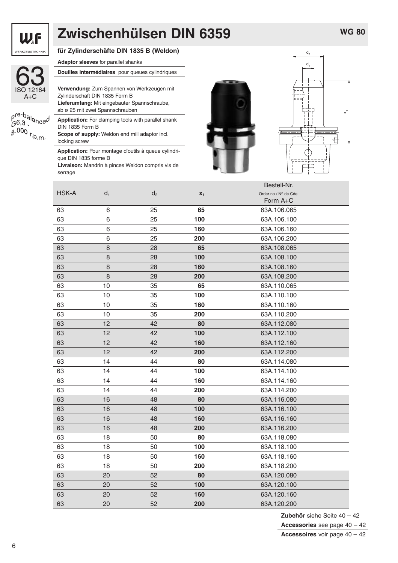

| 12164<br>IS |
|-------------|

#### **für Zylinderschäfte DIN 1835 B (Weldon)**

**Adaptor sleeves** for parallel shanks

|                                                   | Douilles intermédiaires pour queues cylindriques    |
|---------------------------------------------------|-----------------------------------------------------|
|                                                   |                                                     |
| ISO 12164                                         | Verwendung: Zum Spannen von Werkzeugen mit          |
| $A+C$                                             | Zylinderschaft DIN 1835 Form B                      |
|                                                   | Lieferumfang: Mit eingebauter Spannschraube,        |
|                                                   | ab ø 25 mit zwei Spannschrauben                     |
| pre-balanced<br>G6,3<br>g.000 r <sub>.p.m</sub> , | Application: For clamping tools with parallel shank |
|                                                   | DIN 1835 Form B                                     |
|                                                   | Scope of supply: Weldon end mill adaptor incl.      |
|                                                   | locking screw                                       |

**Application:** Pour montage d'outils à queue cylindrique DIN 1835 forme B **Livraison:** Mandrin à pinces Weldon compris vis de

serrage



![](_page_5_Figure_10.jpeg)

|              |        |                |       | Bestell-Nr.           |
|--------------|--------|----------------|-------|-----------------------|
| <b>HSK-A</b> | $d_1$  | d <sub>2</sub> | $x_1$ | Order no / Nº de Cde. |
|              |        |                |       | Form A+C              |
| 63           | 6      | 25             | 65    | 63A.106.065           |
| 63           | 6      | 25             | 100   | 63A.106.100           |
| 63           | 6      | 25             | 160   | 63A.106.160           |
| 63           | 6      | 25             | 200   | 63A.106.200           |
| 63           | 8      | 28             | 65    | 63A.108.065           |
| 63           | $\bf8$ | 28             | 100   | 63A.108.100           |
| 63           | 8      | 28             | 160   | 63A.108.160           |
| 63           | 8      | 28             | 200   | 63A.108.200           |
| 63           | 10     | 35             | 65    | 63A.110.065           |
| 63           | 10     | 35             | 100   | 63A.110.100           |
| 63           | 10     | 35             | 160   | 63A.110.160           |
| 63           | 10     | 35             | 200   | 63A.110.200           |
| 63           | 12     | 42             | 80    | 63A.112.080           |
| 63           | 12     | 42             | 100   | 63A.112.100           |
| 63           | 12     | 42             | 160   | 63A.112.160           |
| 63           | 12     | 42             | 200   | 63A.112.200           |
| 63           | 14     | 44             | 80    | 63A.114.080           |
| 63           | 14     | 44             | 100   | 63A.114.100           |
| 63           | 14     | 44             | 160   | 63A.114.160           |
| 63           | 14     | 44             | 200   | 63A.114.200           |
| 63           | 16     | 48             | 80    | 63A.116.080           |
| 63           | 16     | 48             | 100   | 63A.116.100           |
| 63           | 16     | 48             | 160   | 63A.116.160           |
| 63           | 16     | 48             | 200   | 63A.116.200           |
| 63           | 18     | 50             | 80    | 63A.118.080           |
| 63           | 18     | 50             | 100   | 63A.118.100           |
| 63           | 18     | 50             | 160   | 63A.118.160           |
| 63           | 18     | 50             | 200   | 63A.118.200           |
| 63           | 20     | 52             | 80    | 63A.120.080           |
| 63           | 20     | 52             | 100   | 63A.120.100           |
| 63           | 20     | 52             | 160   | 63A.120.160           |
| 63           | 20     | 52             | 200   | 63A.120.200           |

**Zubehör** siehe Seite 40 – 42 **Accessories** see page 40 – 42

**Accessoires** voir page 40 – 42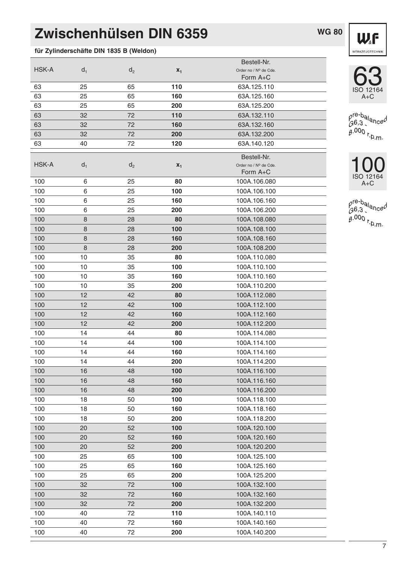$\mathsf{HSK-A}$  d<sub>1</sub> d<sub>2</sub> d<sub>2</sub>  $\mathsf{x}_1$  Order no / N° de Cde.

### **für Zylinderschäfte DIN 1835 B (Weldon)**

**WG 80**

Bestell-Nr.

Form A+C

![](_page_6_Picture_3.jpeg)

![](_page_6_Picture_4.jpeg)

pre-balanced<br>G6,3<br>g.000 r<sub>.p.m</sub>,

![](_page_6_Picture_6.jpeg)

pre-balanced<br>G6,3<br>B.000 r<sub>.D.m</sub>,

| 63           | 25      | 65             | 110   | 63A.125.110           |
|--------------|---------|----------------|-------|-----------------------|
| 63           | 25      | 65             | 160   | 63A.125.160           |
| 63           | 25      | 65             | 200   | 63A.125.200           |
| 63           | 32      | 72             | 110   | 63A.132.110           |
| 63           | 32      | 72             | 160   | 63A.132.160           |
| 63           | 32      | 72             | 200   | 63A.132.200           |
| 63           | 40      | 72             | 120   | 63A.140.120           |
|              |         |                |       | Bestell-Nr.           |
| <b>HSK-A</b> | $d_1$   | d <sub>2</sub> | $x_1$ | Order no / Nº de Cde. |
|              |         |                |       | Form A+C              |
| 100          | 6       | 25             | 80    | 100A.106.080          |
| 100          | 6       | 25             | 100   | 100A.106.100          |
| 100          | 6       | 25             | 160   | 100A.106.160          |
| 100          | 6       | 25             | 200   | 100A.106.200          |
| 100          | $\,8\,$ | 28             | 80    | 100A.108.080          |
| 100          | 8       | 28             | 100   | 100A.108.100          |
| 100          | 8       | 28             | 160   | 100A.108.160          |
| 100          | 8       | 28             | 200   | 100A.108.200          |
| 100          | 10      | 35             | 80    | 100A.110.080          |
| 100          | 10      | 35             | 100   | 100A.110.100          |
| 100          | 10      | 35             | 160   | 100A.110.160          |
| 100          | 10      | 35             | 200   | 100A.110.200          |
| 100          | 12      | 42             | 80    | 100A.112.080          |
| 100          | 12      | 42             | 100   | 100A.112.100          |
| 100          | 12      | 42             | 160   | 100A.112.160          |
| 100          | 12      | 42             | 200   | 100A.112.200          |
| 100          | 14      | 44             | 80    | 100A.114.080          |
| 100          | 14      | 44             | 100   | 100A.114.100          |
| 100          | 14      | 44             | 160   | 100A.114.160          |
| 100          | 14      | 44             | 200   | 100A.114.200          |
| 100          | 16      | 48             | 100   | 100A.116.100          |
| 100          | 16      | 48             | 160   | 100A.116.160          |
| 100          | 16      | 48             | 200   | 100A.116.200          |
| 100          | 18      | 50             | 100   | 100A.118.100          |
| 100          | 18      | 50             | 160   | 100A.118.160          |
| 100          | 18      | 50             | 200   | 100A.118.200          |
| 100          | 20      | 52             | 100   | 100A.120.100          |
| 100          | 20      | 52             | 160   | 100A.120.160          |
| 100          | 20      | 52             | 200   | 100A.120.200          |
| 100          | 25      | 65             | 100   | 100A.125.100          |
| 100          | 25      | 65             | 160   | 100A.125.160          |
| 100          | 25      | 65             | 200   | 100A.125.200          |
| 100          | 32      | 72             | 100   | 100A.132.100          |
| 100          | 32      | 72             | 160   | 100A.132.160          |
| 100          | 32      | 72             | 200   | 100A.132.200          |
| 100          | 40      | 72             | 110   | 100A.140.110          |
| 100          | 40      | 72             | 160   | 100A.140.160          |
| 100          | 40      | 72             | 200   | 100A.140.200          |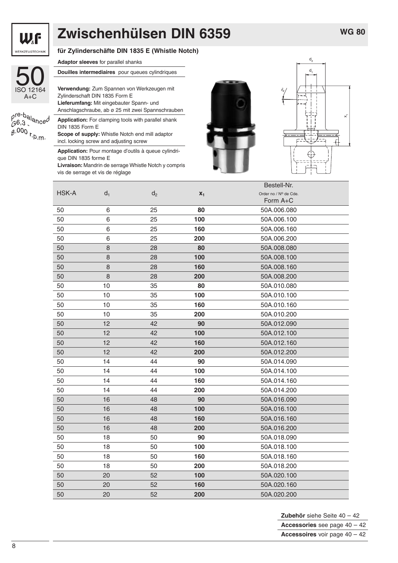![](_page_7_Picture_0.jpeg)

p<sup>re-b</sup>alance<br>G6,3<br>g.000 r<sub>.p.m</sub>.

**für Zylinderschäfte DIN 1835 E (Whistle Notch)**

|   | <b>Adaptor sleeves</b> for parallel shanks                                                        |  |  |  |  |  |  |
|---|---------------------------------------------------------------------------------------------------|--|--|--|--|--|--|
|   | <b>Douilles intermediaires</b> pour queues cylindriques                                           |  |  |  |  |  |  |
| 1 | Verwendung: Zum Spannen von Werkzeugen mit<br>Zylinderschaft DIN 1835 Form E                      |  |  |  |  |  |  |
|   | Lieferumfang: Mit eingebauter Spann- und                                                          |  |  |  |  |  |  |
|   | Anschlagschraube, ab ø 25 mit zwei Spannschrauben                                                 |  |  |  |  |  |  |
|   | <b>Application:</b> For clamping tools with parallel shank<br>DIN 1835 Form E                     |  |  |  |  |  |  |
|   | <b>Scope of supply:</b> Whistle Notch end mill adaptor<br>incl. locking screw and adjusting screw |  |  |  |  |  |  |

**Application:** Pour montage d'outils à queue cylindrique DIN 1835 forme E

**Livraison:** Mandrin de serrage Whistle Notch y compris vis de serrage et vis de réglage

![](_page_7_Picture_9.jpeg)

![](_page_7_Figure_10.jpeg)

|              |       |                |       | Bestell-Nr.           |
|--------------|-------|----------------|-------|-----------------------|
| <b>HSK-A</b> | $d_1$ | d <sub>2</sub> | $x_1$ | Order no / Nº de Cde. |
|              |       |                |       | Form A+C              |
| 50           | 6     | 25             | 80    | 50A.006.080           |
| 50           | 6     | 25             | 100   | 50A.006.100           |
| 50           | 6     | 25             | 160   | 50A.006.160           |
| 50           | 6     | 25             | 200   | 50A.006.200           |
| 50           | 8     | 28             | 80    | 50A.008.080           |
| 50           | 8     | 28             | 100   | 50A.008.100           |
| 50           | 8     | 28             | 160   | 50A.008.160           |
| 50           | 8     | 28             | 200   | 50A.008.200           |
| 50           | 10    | 35             | 80    | 50A.010.080           |
| 50           | 10    | 35             | 100   | 50A.010.100           |
| 50           | 10    | 35             | 160   | 50A.010.160           |
| 50           | 10    | 35             | 200   | 50A.010.200           |
| 50           | 12    | 42             | 90    | 50A.012.090           |
| 50           | 12    | 42             | 100   | 50A.012.100           |
| 50           | 12    | 42             | 160   | 50A.012.160           |
| 50           | 12    | 42             | 200   | 50A.012.200           |
| 50           | 14    | 44             | 90    | 50A.014.090           |
| 50           | 14    | 44             | 100   | 50A.014.100           |
| 50           | 14    | 44             | 160   | 50A.014.160           |
| 50           | 14    | 44             | 200   | 50A.014.200           |
| 50           | 16    | 48             | 90    | 50A.016.090           |
| 50           | 16    | 48             | 100   | 50A.016.100           |
| 50           | 16    | 48             | 160   | 50A.016.160           |
| 50           | 16    | 48             | 200   | 50A.016.200           |
| 50           | 18    | 50             | 90    | 50A.018.090           |
| 50           | 18    | 50             | 100   | 50A.018.100           |
| 50           | 18    | 50             | 160   | 50A.018.160           |
| 50           | 18    | 50             | 200   | 50A.018.200           |
| 50           | 20    | 52             | 100   | 50A.020.100           |
| 50           | 20    | 52             | 160   | 50A.020.160           |
| 50           | 20    | 52             | 200   | 50A.020.200           |

**Zubehör** siehe Seite 40 – 42 **Accessories** see page 40 – 42 **Accessoires** voir page 40 – 42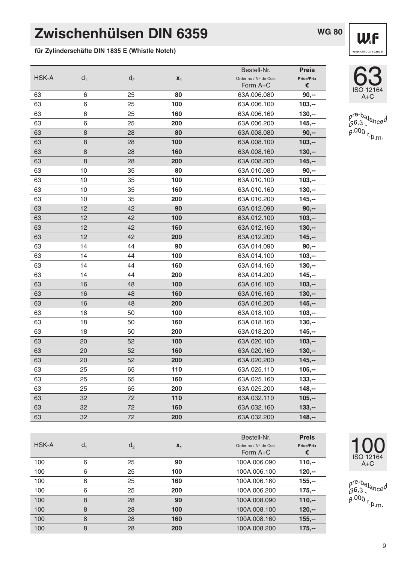**für Zylinderschäfte DIN 1835 E (Whistle Notch)**

|       |         |       |       | Bestell-Nr.           | <b>Preis</b>      |
|-------|---------|-------|-------|-----------------------|-------------------|
| HSK-A | $d_1$   | $d_2$ | $x_1$ | Order no / Nº de Cde. | <b>Price/Prix</b> |
|       |         |       |       | Form A+C              | €                 |
| 63    | 6       | 25    | 80    | 63A.006.080           | $90, -$           |
| 63    | 6       | 25    | 100   | 63A.006.100           | $103,-$           |
| 63    | 6       | 25    | 160   | 63A.006.160           | $130,-$           |
| 63    | 6       | 25    | 200   | 63A.006.200           | $145,-$           |
| 63    | $\,8\,$ | 28    | 80    | 63A.008.080           | $90, -$           |
| 63    | 8       | 28    | 100   | 63A.008.100           | $103,-$           |
| 63    | $\,8\,$ | 28    | 160   | 63A.008.160           | $130,-$           |
| 63    | $\,8\,$ | 28    | 200   | 63A.008.200           | $145,-$           |
| 63    | 10      | 35    | 80    | 63A.010.080           | $90,-$            |
| 63    | 10      | 35    | 100   | 63A.010.100           | $103,-$           |
| 63    | 10      | 35    | 160   | 63A.010.160           | $130,-$           |
| 63    | 10      | 35    | 200   | 63A.010.200           | $145,-$           |
| 63    | 12      | 42    | 90    | 63A.012.090           | $90, -$           |
| 63    | 12      | 42    | 100   | 63A.012.100           | $103,-$           |
| 63    | 12      | 42    | 160   | 63A.012.160           | $130,-$           |
| 63    | 12      | 42    | 200   | 63A.012.200           | $145,-$           |
| 63    | 14      | 44    | 90    | 63A.014.090           | $90,-$            |
| 63    | 14      | 44    | 100   | 63A.014.100           | $103,-$           |
| 63    | 14      | 44    | 160   | 63A.014.160           | $130,-$           |
| 63    | 14      | 44    | 200   | 63A.014.200           | $145,-$           |
| 63    | 16      | 48    | 100   | 63A.016.100           | $103,-$           |
| 63    | 16      | 48    | 160   | 63A.016.160           | $130,-$           |
| 63    | 16      | 48    | 200   | 63A.016.200           | $145,-$           |
| 63    | 18      | 50    | 100   | 63A.018.100           | $103,-$           |
| 63    | 18      | 50    | 160   | 63A.018.160           | $130,-$           |
| 63    | 18      | 50    | 200   | 63A.018.200           | $145,-$           |
| 63    | 20      | 52    | 100   | 63A.020.100           | $103,-$           |
| 63    | 20      | 52    | 160   | 63A.020.160           | $130,-$           |
| 63    | 20      | 52    | 200   | 63A.020.200           | $145,-$           |
| 63    | 25      | 65    | 110   | 63A.025.110           | $105,-$           |
| 63    | 25      | 65    | 160   | 63A.025.160           | $133,-$           |
| 63    | 25      | 65    | 200   | 63A.025.200           | $148,-$           |
| 63    | 32      | 72    | 110   | 63A.032.110           | $105,-$           |
| 63    | 32      | 72    | 160   | 63A.032.160           | $133,-$           |

63 32 72 **200** 63A.032.200 **148,--**

**HSK-A** d<sub>1</sub> d<sub>2</sub> d<sub>2</sub> **x<sub>1</sub>** order no / N° de Cde. **Price/Prix**<br> **Form A+C**  $\epsilon$ 

100 6 25 **90** 100A.006.090 **110,--** 100 6 25 **100** 100A.006.100 **120,--** 100 6 25 **160** 100A.006.160 **155,--** 100 6 25 **200** 100A.006.200 **175,--** 100 8 28 **90** 100A.008.090 **110,--** 100 8 28 **100** 100A.008.100 **120,--** 100 8 28 **160** 100A.008.160 **155,--** 100 8 28 **200** 100A.008.200 **175,--**

![](_page_8_Picture_3.jpeg)

![](_page_8_Picture_4.jpeg)

pre-balanced<br>G6,3<br>g.000 r<sub>.p.m</sub>,

![](_page_8_Picture_6.jpeg)

Bestell-Nr. **Preis**

Form A+C !

pre-ba<sub>lance</sub>d<br>G6,3<br>g.000 r<sub>.p.m</sub>,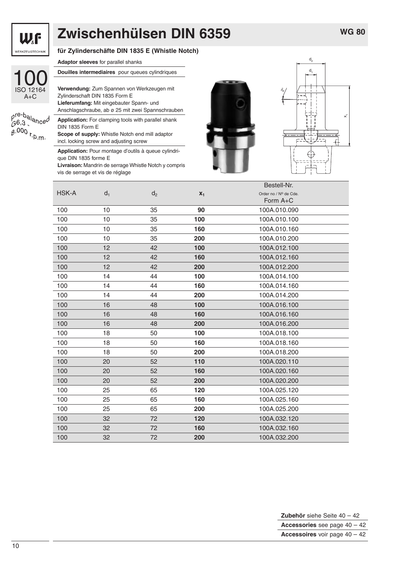![](_page_9_Picture_0.jpeg)

 $\frac{\rho^{re-b}}{\beta^{6,3}}$  $6.000_{r}$ 

#### **für Zylinderschäfte DIN 1835 E (Whistle Notch)**

**Adaptor sleeves** for parallel shanks

|                          | <b>Douilles intermediaires</b> pour queues cylindriques    |  |  |  |  |  |
|--------------------------|------------------------------------------------------------|--|--|--|--|--|
|                          |                                                            |  |  |  |  |  |
| 2164                     | Verwendung: Zum Spannen von Werkzeugen mit                 |  |  |  |  |  |
| €                        | Zylinderschaft DIN 1835 Form E                             |  |  |  |  |  |
|                          | Lieferumfang: Mit eingebauter Spann- und                   |  |  |  |  |  |
|                          | Anschlagschraube, ab ø 25 mit zwei Spannschrauben          |  |  |  |  |  |
| $\lambda_0$ nce $\theta$ | <b>Application:</b> For clamping tools with parallel shank |  |  |  |  |  |
|                          | DIN 1835 Form E                                            |  |  |  |  |  |
| Þ.m.                     | Scope of supply: Whistle Notch end mill adaptor            |  |  |  |  |  |
|                          | incl. locking screw and adjusting screw                    |  |  |  |  |  |
|                          |                                                            |  |  |  |  |  |

**Application:** Pour montage d'outils à queue cylindrique DIN 1835 forme E

**Livraison:** Mandrin de serrage Whistle Notch y compris vis de serrage et vis de réglage

![](_page_9_Picture_10.jpeg)

![](_page_9_Figure_11.jpeg)

|              |       |                |       | Bestell-Nr.           |
|--------------|-------|----------------|-------|-----------------------|
| <b>HSK-A</b> | $d_1$ | d <sub>2</sub> | $x_1$ | Order no / Nº de Cde. |
|              |       |                |       | Form $A+C$            |
| 100          | 10    | 35             | 90    | 100A.010.090          |
| 100          | 10    | 35             | 100   | 100A.010.100          |
| 100          | 10    | 35             | 160   | 100A.010.160          |
| 100          | 10    | 35             | 200   | 100A.010.200          |
| 100          | 12    | 42             | 100   | 100A.012.100          |
| 100          | 12    | 42             | 160   | 100A.012.160          |
| 100          | 12    | 42             | 200   | 100A.012.200          |
| 100          | 14    | 44             | 100   | 100A.014.100          |
| 100          | 14    | 44             | 160   | 100A.014.160          |
| 100          | 14    | 44             | 200   | 100A.014.200          |
| 100          | 16    | 48             | 100   | 100A.016.100          |
| 100          | 16    | 48             | 160   | 100A.016.160          |
| 100          | 16    | 48             | 200   | 100A.016.200          |
| 100          | 18    | 50             | 100   | 100A.018.100          |
| 100          | 18    | 50             | 160   | 100A.018.160          |
| 100          | 18    | 50             | 200   | 100A.018.200          |
| 100          | 20    | 52             | 110   | 100A.020.110          |
| 100          | 20    | 52             | 160   | 100A.020.160          |
| 100          | 20    | 52             | 200   | 100A.020.200          |
| 100          | 25    | 65             | 120   | 100A.025.120          |
| 100          | 25    | 65             | 160   | 100A.025.160          |
| 100          | 25    | 65             | 200   | 100A.025.200          |
| 100          | 32    | 72             | 120   | 100A.032.120          |
| 100          | 32    | 72             | 160   | 100A.032.160          |
| 100          | 32    | 72             | 200   | 100A.032.200          |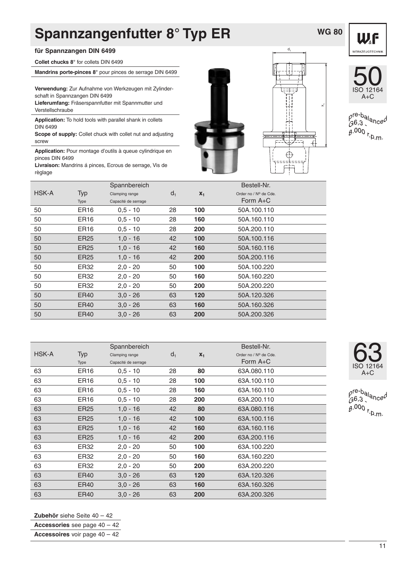# **Spannzangenfutter 8° Typ ER**

#### **für Spannzangen DIN 6499**

**Collet chucks 8°** for collets DIN 6499

**Mandrins porte-pinces 8°** pour pinces de serrage DIN 6499

**Verwendung:** Zur Aufnahme von Werkzeugen mit Zylinderschaft in Spannzangen DIN 6499 **Lieferumfang:** Fräserspannfutter mit Spannmutter und

Verstellschraube

**Application:** To hold tools with parallel shank in collets DIN 6499

**Scope of supply:** Collet chuck with collet nut and adjusting screw

**Application:** Pour montage d'outils à queue cylindrique en pinces DIN 6499

**Livraison:** Mandrins á pinces, Ecrous de serrage, Vis de règlage

![](_page_10_Picture_10.jpeg)

![](_page_10_Picture_11.jpeg)

**WG 80**

![](_page_10_Picture_12.jpeg)

p<sup>re-b</sup>al<sub>ance</sub>d  $6.000$  r.p.m.

|                  | Spannbereich        |       |       | Bestell-Nr.           |
|------------------|---------------------|-------|-------|-----------------------|
| Typ              | Clamping range      | $d_1$ | $X_1$ | Order no / Nº de Cde. |
| Type             | Capacité de serrage |       |       | Form $A+C$            |
| ER <sub>16</sub> | $0,5 - 10$          | 28    | 100   | 50A.100.110           |
| ER <sub>16</sub> | $0,5 - 10$          | 28    | 160   | 50A.160.110           |
| ER <sub>16</sub> | $0.5 - 10$          | 28    | 200   | 50A.200.110           |
| <b>ER25</b>      | $1,0 - 16$          | 42    | 100   | 50A.100.116           |
| ER <sub>25</sub> | $1,0 - 16$          | 42    | 160   | 50A.160.116           |
| ER <sub>25</sub> | $1.0 - 16$          | 42    | 200   | 50A.200.116           |
| ER32             | $2.0 - 20$          | 50    | 100   | 50A.100.220           |
| ER32             | $2.0 - 20$          | 50    | 160   | 50A.160.220           |
| ER32             | $2.0 - 20$          | 50    | 200   | 50A.200.220           |
| ER40             | $3.0 - 26$          | 63    | 120   | 50A.120.326           |
| ER40             | $3.0 - 26$          | 63    | 160   | 50A.160.326           |
| ER40             | $3.0 - 26$          | 63    | 200   | 50A.200.326           |
|                  |                     |       |       |                       |

|       | Spannbereich<br>Bestell-Nr. |                     |       |       |                       |  |
|-------|-----------------------------|---------------------|-------|-------|-----------------------|--|
| HSK-A | Typ                         | Clamping range      | $d_1$ | $X_1$ | Order no / Nº de Cde. |  |
|       | Type                        | Capacité de serrage |       |       | Form $A+C$            |  |
| 63    | ER <sub>16</sub>            | $0.5 - 10$          | 28    | 80    | 63A.080.110           |  |
| 63    | ER <sub>16</sub>            | $0.5 - 10$          | 28    | 100   | 63A.100.110           |  |
| 63    | ER <sub>16</sub>            | $0.5 - 10$          | 28    | 160   | 63A.160.110           |  |
| 63    | ER <sub>16</sub>            | $0,5 - 10$          | 28    | 200   | 63A.200.110           |  |
| 63    | ER25                        | $1,0 - 16$          | 42    | 80    | 63A.080.116           |  |
| 63    | <b>ER25</b>                 | $1,0 - 16$          | 42    | 100   | 63A.100.116           |  |
| 63    | ER25                        | $1,0 - 16$          | 42    | 160   | 63A.160.116           |  |
| 63    | ER25                        | $1,0 - 16$          | 42    | 200   | 63A.200.116           |  |
| 63    | ER32                        | $2,0 - 20$          | 50    | 100   | 63A.100.220           |  |
| 63    | ER32                        | $2,0 - 20$          | 50    | 160   | 63A.160.220           |  |
| 63    | ER32                        | $2,0 - 20$          | 50    | 200   | 63A.200.220           |  |
| 63    | ER40                        | $3.0 - 26$          | 63    | 120   | 63A.120.326           |  |
| 63    | ER40                        | $3.0 - 26$          | 63    | 160   | 63A.160.326           |  |
| 63    | <b>ER40</b>                 | $3.0 - 26$          | 63    | 200   | 63A.200.326           |  |

![](_page_10_Picture_16.jpeg)

pre-balanced  $60,3,400$ <br> $8.000$  r.p.m.

**Zubehör** siehe Seite 40 – 42

**Accessories** see page 40 – 42

**Accessoires** voir page 40 – 42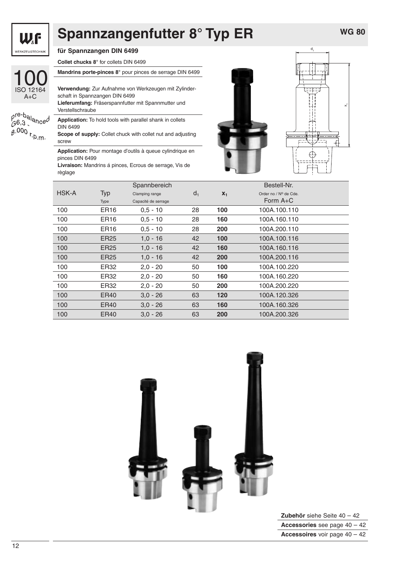![](_page_11_Picture_0.jpeg)

100 ISO 12164

 $A+C$ 

### **Spannzangenfutter 8° Typ ER**

**für Spannzangen DIN 6499**

**Collet chucks 8°** for collets DIN 6499

**Mandrins porte-pinces 8°** pour pinces de serrage DIN 6499

**Verwendung:** Zur Aufnahme von Werkzeugen mit Zylinderschaft in Spannzangen DIN 6499 **Lieferumfang:** Fräserspannfutter mit Spannmutter und

 $\beta^{\text{re-b}}$ alanced  $6.000$  r.p.m.

Verstellschraube **Application:** To hold tools with parallel shank in collets DIN 6499 **Scope of supply:** Collet chuck with collet nut and adjusting

screw

**Application:** Pour montage d'outils à queue cylindrique en pinces DIN 6499

**Livraison:** Mandrins á pinces, Ecrous de serrage, Vis de règlage

![](_page_11_Picture_12.jpeg)

![](_page_11_Figure_13.jpeg)

|              |                  | Spannbereich        |                | Bestell-Nr. |                       |  |  |  |
|--------------|------------------|---------------------|----------------|-------------|-----------------------|--|--|--|
| <b>HSK-A</b> | Typ              | Clamping range      | d <sub>1</sub> | $X_1$       | Order no / Nº de Cde. |  |  |  |
|              | Type             | Capacité de serrage |                |             | Form $A+C$            |  |  |  |
| 100          | ER <sub>16</sub> | $0.5 - 10$          | 28             | 100         | 100A.100.110          |  |  |  |
| 100          | ER <sub>16</sub> | $0.5 - 10$          | 28             | 160         | 100A.160.110          |  |  |  |
| 100          | ER <sub>16</sub> | $0.5 - 10$          | 28             | 200         | 100A.200.110          |  |  |  |
| 100          | <b>ER25</b>      | $1.0 - 16$          | 42             | 100         | 100A.100.116          |  |  |  |
| 100          | ER <sub>25</sub> | $1,0 - 16$          | 42             | 160         | 100A.160.116          |  |  |  |
| 100          | ER <sub>25</sub> | $1.0 - 16$          | 42             | 200         | 100A.200.116          |  |  |  |
| 100          | ER32             | $2,0 - 20$          | 50             | 100         | 100A.100.220          |  |  |  |
| 100          | ER32             | $2,0 - 20$          | 50             | 160         | 100A.160.220          |  |  |  |
| 100          | ER32             | $2,0 - 20$          | 50             | 200         | 100A.200.220          |  |  |  |
| 100          | ER40             | $3.0 - 26$          | 63             | 120         | 100A.120.326          |  |  |  |
| 100          | ER40             | $3.0 - 26$          | 63             | 160         | 100A.160.326          |  |  |  |
| 100          | ER40             | $3.0 - 26$          | 63             | 200         | 100A.200.326          |  |  |  |

![](_page_11_Picture_15.jpeg)

**Zubehör** siehe Seite 40 – 42 **Accessories** see page 40 – 42 **Accessoires** voir page 40 – 42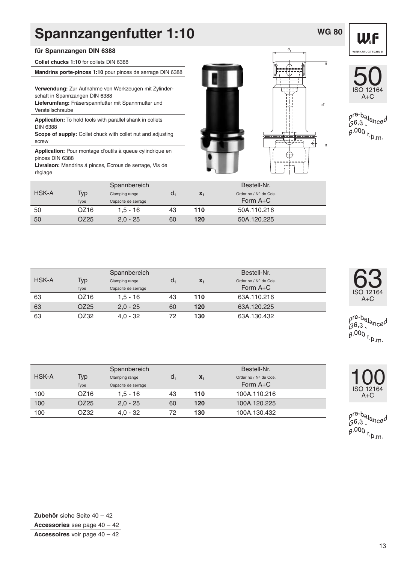### **Spannzangenfutter 1:10**

#### **für Spannzangen DIN 6388**

**Collet chucks 1:10** for collets DIN 6388

**Mandrins porte-pinces 1:10** pour pinces de serrage DIN 6388

**Verwendung:** Zur Aufnahme von Werkzeugen mit Zylinderschaft in Spannzangen DIN 6388 **Lieferumfang:** Fräserspannfutter mit Spannmutter und Verstellschraube

**Application:** To hold tools with parallel shank in collets DIN 6388

**Scope of supply:** Collet chuck with collet nut and adjusting screw

**Application:** Pour montage d'outils à queue cylindrique en pinces DIN 6388

**Livraison:** Mandrins á pinces, Ecrous de serrage, Vis de règlage

![](_page_12_Picture_9.jpeg)

d

**WG 80** WF

 $\ddot{x}$ 

![](_page_12_Picture_11.jpeg)

50<br>ISO 12164 A+C

pre-ba<sub>lance</sub>d<br>G6,3<br>g.000 r<sub>.p.m</sub>,

| <b>HSK-A</b> | <b>Typ</b><br>Type | Spannbereich<br>Clamping range<br>Capacité de serrage | a, | $X_1$ | Bestell-Nr.<br>Order no / Nº de Cde.<br>Form $A+C$ |  |
|--------------|--------------------|-------------------------------------------------------|----|-------|----------------------------------------------------|--|
| 50           | OZ16               | $1.5 - 16$                                            | 43 | 110   | 50A.110.216                                        |  |
| 50           | OZ25               | $2,0 - 25$                                            | 60 | 120   | 50A.120.225                                        |  |

|              |                  | Spannbereich        |    |       | Bestell-Nr.           |  |
|--------------|------------------|---------------------|----|-------|-----------------------|--|
| <b>HSK-A</b> | Typ              | Clamping range      | d. | $X_1$ | Order no / Nº de Cde. |  |
|              | Type             | Capacité de serrage |    |       | Form $A+C$            |  |
| 63           | OZ16             | $1.5 - 16$          | 43 | 110   | 63A.110.216           |  |
| 63           | OZ <sub>25</sub> | $2.0 - 25$          | 60 | 120   | 63A.120.225           |  |
| 63           | OZ32             | $4.0 - 32$          | 72 | 130   | 63A.130.432           |  |

|       |      | Spannbereich        |    |                | Bestell-Nr.           |  |
|-------|------|---------------------|----|----------------|-----------------------|--|
| HSK-A | Typ  | Clamping range      | d, | $\mathbf{X}_1$ | Order no / Nº de Cde. |  |
|       | Type | Capacité de serrage |    |                | Form $A+C$            |  |
| 100   | OZ16 | $1.5 - 16$          | 43 | 110            | 100A.110.216          |  |
| 100   | OZ25 | $2.0 - 25$          | 60 | 120            | 100A.120.225          |  |
| 100   | OZ32 | $4.0 - 32$          | 72 | 130            | 100A.130.432          |  |

![](_page_12_Picture_18.jpeg)

pre-balanced  $6.000$  r.p.m.

![](_page_12_Picture_20.jpeg)

pre-ba<sub>lance</sub>d<br>G6,3<br>g.000 r<sub>.p.m</sub>,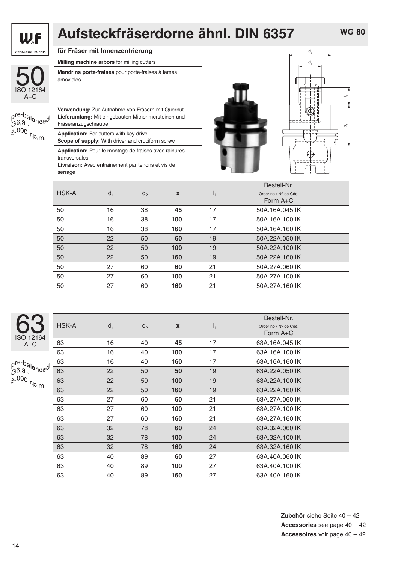![](_page_13_Picture_0.jpeg)

## **Aufsteckfräserdorne ähnl. DIN 6357**

**für Fräser mit Innenzentrierung**

**Milling machine arbors** for milling cutters

![](_page_13_Picture_5.jpeg)

**Mandrins porte-fraises** pour porte-fraises à lames amovibles

| $\tilde{\theta}$ .000 r.p.m. |  |
|------------------------------|--|

**Verwendung:** Zur Aufnahme von Fräsern mit Quernut **Lieferumfang:** Mit eingebauten Mitnehmersteinen und Fräseranzugschraube

**Application:** For cutters with key drive

**Scope of supply:** With driver and cruciform screw

**Application:** Pour le montage de fraises avec rainures transversales

**Livraison:** Avec entrainement par tenons et vis de serrage

![](_page_13_Picture_13.jpeg)

Bestell-Nr.

![](_page_13_Figure_14.jpeg)

|       |                |       |    | Bestell-Nr.           |
|-------|----------------|-------|----|-----------------------|
| $d_1$ | d <sub>2</sub> | $X_1$ | Ι, | Order no / Nº de Cde. |
|       |                |       |    | Form $A+C$            |
| 16    | 38             | 45    | 17 | 50A.16A.045.IK        |
| 16    | 38             | 100   | 17 | 50A.16A.100.IK        |
| 16    | 38             | 160   | 17 | 50A.16A.160.IK        |
| 22    | 50             | 60    | 19 | 50A.22A.050.IK        |
| 22    | 50             | 100   | 19 | 50A.22A.100.IK        |
| 22    | 50             | 160   | 19 | 50A.22A.160.IK        |
| 27    | 60             | 60    | 21 | 50A.27A.060.IK        |
| 27    | 60             | 100   | 21 | 50A.27A.100.IK        |
| 27    | 60             | 160   | 21 | 50A.27A.160.IK        |
|       |                |       |    |                       |

| 12164<br>צו |
|-------------|
|             |

 $are-h$ 

| $\frac{1}{2}$ $\frac{1}{2}$ alance <sup>0</sup><br>$6,3$ . |  |
|------------------------------------------------------------|--|
| $3.000$ r.p.m.                                             |  |

|       |       |                |       |       | DESIGII-INI.                        |
|-------|-------|----------------|-------|-------|-------------------------------------|
| HSK-A | $d_1$ | d <sub>2</sub> | $x_1$ | $I_1$ | Order no / Nº de Cde.<br>Form $A+C$ |
| 63    | 16    | 40             | 45    | 17    | 63A.16A.045.IK                      |
| 63    | 16    | 40             | 100   | 17    | 63A.16A.100.IK                      |
| 63    | 16    | 40             | 160   | 17    | 63A.16A.160.IK                      |
| 63    | 22    | 50             | 50    | 19    | 63A.22A.050.IK                      |
| 63    | 22    | 50             | 100   | 19    | 63A.22A.100.IK                      |
| 63    | 22    | 50             | 160   | 19    | 63A.22A.160.IK                      |
| 63    | 27    | 60             | 60    | 21    | 63A.27A.060.IK                      |
| 63    | 27    | 60             | 100   | 21    | 63A.27A.100.IK                      |
| 63    | 27    | 60             | 160   | 21    | 63A.27A.160.IK                      |
| 63    | 32    | 78             | 60    | 24    | 63A.32A.060.IK                      |
| 63    | 32    | 78             | 100   | 24    | 63A.32A.100.IK                      |
| 63    | 32    | 78             | 160   | 24    | 63A.32A.160.IK                      |
| 63    | 40    | 89             | 60    | 27    | 63A.40A.060.IK                      |
| 63    | 40    | 89             | 100   | 27    | 63A.40A.100.IK                      |
| 63    | 40    | 89             | 160   | 27    | 63A.40A.160.IK                      |
|       |       |                |       |       |                                     |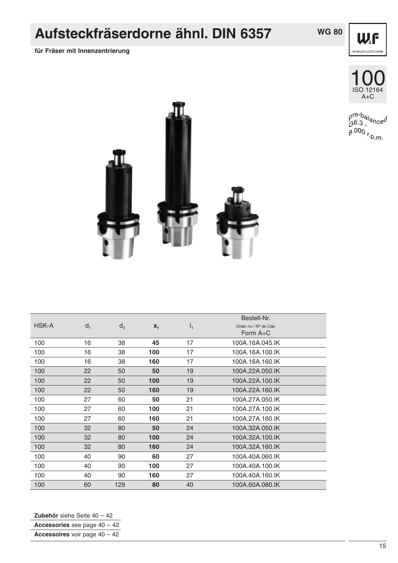## **Aufsteckfräserdorne ähnl. DIN 6357**

**für Fräser mit Innenzentrierung**

![](_page_14_Picture_2.jpeg)

![](_page_14_Picture_3.jpeg)

![](_page_14_Picture_4.jpeg)

pre-balanced<br>G6,3<br>g.000 r<sub>.p.m</sub>,

![](_page_14_Picture_6.jpeg)

| <b>HSK-A</b> | $d_1$ | d <sub>2</sub> | $X_1$ | $I_1$ | Bestell-Nr.<br>Order no / Nº de Cde.<br>Form $A+C$ |
|--------------|-------|----------------|-------|-------|----------------------------------------------------|
| 100          | 16    | 38             | 45    | 17    | 100A.16A.045.IK                                    |
| 100          | 16    | 38             | 100   | 17    | 100A.16A.100.IK                                    |
| 100          | 16    | 38             | 160   | 17    | 100A.16A.160.IK                                    |
| 100          | 22    | 50             | 50    | 19    | 100A.22A.050.IK                                    |
| 100          | 22    | 50             | 100   | 19    | 100A.22A.100.IK                                    |
| 100          | 22    | 50             | 160   | 19    | 100A.22A.160.IK                                    |
| 100          | 27    | 60             | 50    | 21    | 100A.27A.050.IK                                    |
| 100          | 27    | 60             | 100   | 21    | 100A.27A.100.IK                                    |
| 100          | 27    | 60             | 160   | 21    | 100A.27A.160.IK                                    |
| 100          | 32    | 80             | 50    | 24    | 100A.32A.050.IK                                    |
| 100          | 32    | 80             | 100   | 24    | 100A.32A.100.IK                                    |
| 100          | 32    | 80             | 160   | 24    | 100A.32A.160.IK                                    |
| 100          | 40    | 90             | 60    | 27    | 100A.40A.060.IK                                    |
| 100          | 40    | 90             | 100   | 27    | 100A.40A.100.IK                                    |
| 100          | 40    | 90             | 160   | 27    | 100A.40A.160.IK                                    |
| 100          | 60    | 129            | 80    | 40    | 100A.60A.080.IK                                    |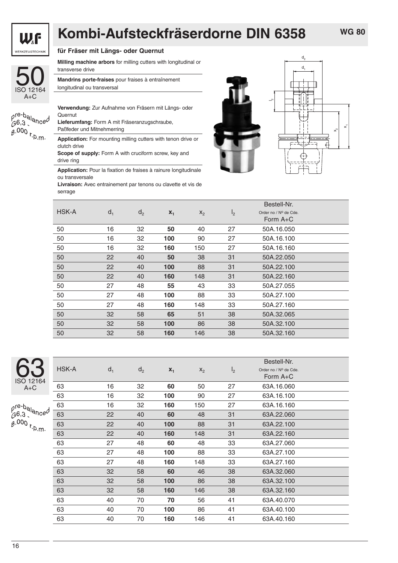![](_page_15_Picture_0.jpeg)

# **Kombi-Aufsteckfräserdorne DIN 6358**

![](_page_15_Picture_3.jpeg)

#### **für Fräser mit Längs- oder Quernut**

**Milling machine arbors** for milling cutters with longitudinal or transverse drive

**Mandrins porte-fraises** pour fraises à entraînement longitudinal ou transversal

| $\rho^{\text{re-b}}$ alanced<br>6.3 |  |
|-------------------------------------|--|
| $0.000$ r.b m.                      |  |

**Verwendung:** Zur Aufnahme von Fräsern mit Längs- oder Quernut

**Lieferumfang:** Form A mit Fräseranzugschraube, Paßfeder und Mitnehmerring

**Application:** For mounting milling cutters with tenon drive or clutch drive **Scope of supply:** Form A with cruciform screw, key and

drive ring

**Application:** Pour la fixation de fraises à rainure longitudinale ou transversale

**Livraison:** Avec entrainement par tenons ou clavette et vis de serrage

![](_page_15_Picture_14.jpeg)

![](_page_15_Figure_15.jpeg)

|       |       |                |       |       |                | Bestell-Nr.           |  |
|-------|-------|----------------|-------|-------|----------------|-----------------------|--|
| HSK-A | $d_1$ | d <sub>2</sub> | $x_1$ | $X_2$ | I <sub>2</sub> | Order no / Nº de Cde. |  |
|       |       |                |       |       |                | Form $A+C$            |  |
| 50    | 16    | 32             | 50    | 40    | 27             | 50A.16.050            |  |
| 50    | 16    | 32             | 100   | 90    | 27             | 50A.16.100            |  |
| 50    | 16    | 32             | 160   | 150   | 27             | 50A.16.160            |  |
| 50    | 22    | 40             | 50    | 38    | 31             | 50A.22.050            |  |
| 50    | 22    | 40             | 100   | 88    | 31             | 50A.22.100            |  |
| 50    | 22    | 40             | 160   | 148   | 31             | 50A.22.160            |  |
| 50    | 27    | 48             | 55    | 43    | 33             | 50A.27.055            |  |
| 50    | 27    | 48             | 100   | 88    | 33             | 50A.27.100            |  |
| 50    | 27    | 48             | 160   | 148   | 33             | 50A.27.160            |  |
| 50    | 32    | 58             | 65    | 51    | 38             | 50A.32.065            |  |
| 50    | 32    | 58             | 100   | 86    | 38             | 50A.32.100            |  |
| 50    | 32    | 58             | 160   | 146   | 38             | 50A.32.160            |  |

ISO 12164 63  $A+C$ 

 $\frac{\rho^{\text{re-b}}}{\beta^{6,3}}$ <sup>ance</sup>  $6.3$  $6.000$  r.p.m.

|    |       |       |                |       |       |                | Bestell-Nr.           |  |
|----|-------|-------|----------------|-------|-------|----------------|-----------------------|--|
|    | HSK-A | $d_1$ | d <sub>2</sub> | $X_1$ | $X_2$ | I <sub>2</sub> | Order no / Nº de Cde. |  |
| 1  |       |       |                |       |       |                | Form $A+C$            |  |
|    | 63    | 16    | 32             | 60    | 50    | 27             | 63A.16.060            |  |
|    | 63    | 16    | 32             | 100   | 90    | 27             | 63A.16.100            |  |
|    | 63    | 16    | 32             | 160   | 150   | 27             | 63A.16.160            |  |
| эd | 63    | 22    | 40             | 60    | 48    | 31             | 63A.22.060            |  |
|    | 63    | 22    | 40             | 100   | 88    | 31             | 63A.22.100            |  |
| ø. | 63    | 22    | 40             | 160   | 148   | 31             | 63A.22.160            |  |
|    | 63    | 27    | 48             | 60    | 48    | 33             | 63A.27.060            |  |
|    | 63    | 27    | 48             | 100   | 88    | 33             | 63A.27.100            |  |
|    | 63    | 27    | 48             | 160   | 148   | 33             | 63A.27.160            |  |
|    | 63    | 32    | 58             | 60    | 46    | 38             | 63A.32.060            |  |
|    | 63    | 32    | 58             | 100   | 86    | 38             | 63A.32.100            |  |
|    | 63    | 32    | 58             | 160   | 146   | 38             | 63A.32.160            |  |
|    | 63    | 40    | 70             | 70    | 56    | 41             | 63A.40.070            |  |
|    | 63    | 40    | 70             | 100   | 86    | 41             | 63A.40.100            |  |
|    | 63    | 40    | 70             | 160   | 146   | 41             | 63A.40.160            |  |
|    |       |       |                |       |       |                |                       |  |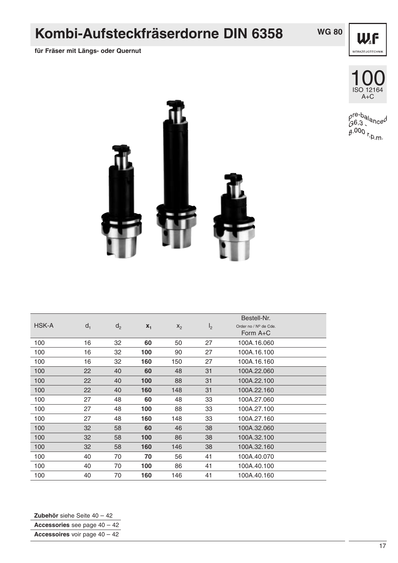### **Kombi-Aufsteckfräserdorne DIN 6358**

**für Fräser mit Längs- oder Quernut**

![](_page_16_Picture_2.jpeg)

![](_page_16_Picture_3.jpeg)

![](_page_16_Picture_4.jpeg)

pre-balanced<br>G6,3<br>g.000 r<sub>.p.m</sub>,

![](_page_16_Picture_6.jpeg)

|              |       |                |       |       |                | Bestell-Nr.           |
|--------------|-------|----------------|-------|-------|----------------|-----------------------|
| <b>HSK-A</b> | $d_1$ | d <sub>2</sub> | $X_1$ | $X_2$ | I <sub>2</sub> | Order no / Nº de Cde. |
|              |       |                |       |       |                | Form $A+C$            |
| 100          | 16    | 32             | 60    | 50    | 27             | 100A.16.060           |
| 100          | 16    | 32             | 100   | 90    | 27             | 100A.16.100           |
| 100          | 16    | 32             | 160   | 150   | 27             | 100A.16.160           |
| 100          | 22    | 40             | 60    | 48    | 31             | 100A.22.060           |
| 100          | 22    | 40             | 100   | 88    | 31             | 100A.22.100           |
| 100          | 22    | 40             | 160   | 148   | 31             | 100A.22.160           |
| 100          | 27    | 48             | 60    | 48    | 33             | 100A.27.060           |
| 100          | 27    | 48             | 100   | 88    | 33             | 100A.27.100           |
| 100          | 27    | 48             | 160   | 148   | 33             | 100A.27.160           |
| 100          | 32    | 58             | 60    | 46    | 38             | 100A.32.060           |
| 100          | 32    | 58             | 100   | 86    | 38             | 100A.32.100           |
| 100          | 32    | 58             | 160   | 146   | 38             | 100A.32.160           |
| 100          | 40    | 70             | 70    | 56    | 41             | 100A.40.070           |
| 100          | 40    | 70             | 100   | 86    | 41             | 100A.40.100           |
| 100          | 40    | 70             | 160   | 146   | 41             | 100A.40.160           |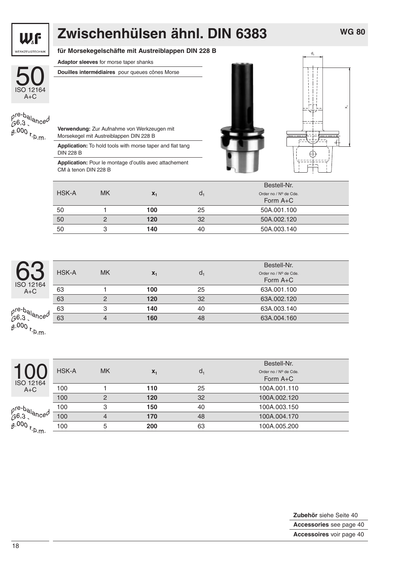![](_page_17_Picture_0.jpeg)

# **Zwischenhülsen ähnl. DIN 6383**

#### **für Morsekegelschäfte mit Austreiblappen DIN 228 B**

**Adaptor sleeves** for morse taper shanks

![](_page_17_Picture_4.jpeg)

### **Douilles intermédiaires** pour queues cônes Morse

| $0.000_{r,n_m}$ |  |
|-----------------|--|

**Verwendung:** Zur Aufnahme von Werkzeugen mit Morsekegel mit Austreiblappen DIN 228 B

**Application:** To hold tools with morse taper and flat tang DIN 228 B

**Application:** Pour le montage d'outils avec attachement CM à tenon DIN 228 B

![](_page_17_Figure_10.jpeg)

|       |           |       |                | Bestell-Nr.           |
|-------|-----------|-------|----------------|-----------------------|
| HSK-A | <b>MK</b> | $X_1$ | a <sub>1</sub> | Order no / Nº de Cde. |
|       |           |       |                | Form A+C              |
| 50    |           | 100   | 25             | 50A.001.100           |
| 50    |           | 120   | 32             | 50A.002.120           |
| 50    |           | 140   | 40             | 50A.003.140           |

| r<br>$\overline{\phantom{0}}$<br>2164 | HSK-A | <b>MK</b> | $X_1$ | $d_1$ | Bestell-Nr.<br>Order no / Nº de Cde.<br>Form A+C |
|---------------------------------------|-------|-----------|-------|-------|--------------------------------------------------|
| ⊦С                                    | 63    |           | 100   | 25    | 63A.001.100                                      |
|                                       | 63    |           | 120   | 32    | 63A.002.120                                      |
|                                       | 63    |           | 140   | 40    | 63A.003.140                                      |
| la <sub>nce</sub> d                   | 63    |           | 160   | 48    | 63A.004.160                                      |
|                                       |       |           |       |       |                                                  |

 $\frac{\rho^{re-b}}{\beta^{6,3}}$  $6.000$  r.p.m.

|               |              |               |       |       | Bestell-Nr.                         |
|---------------|--------------|---------------|-------|-------|-------------------------------------|
| ISO 12164     | <b>HSK-A</b> | <b>MK</b>     | $X_1$ | $d_1$ | Order no / Nº de Cde.<br>Form $A+C$ |
| $A+C$         | 100          |               | 110   | 25    | 100A.001.110                        |
|               | 100          | $\mathcal{P}$ | 120   | 32    | 100A.002.120                        |
|               | 100          | 3             | 150   | 40    | 100A.003.150                        |
|               | 100          | 4             | 170   | 48    | 100A.004.170                        |
| $000 r_{p,m}$ | 100          | 5             | 200   | 63    | 100A.005.200                        |
|               |              |               |       |       |                                     |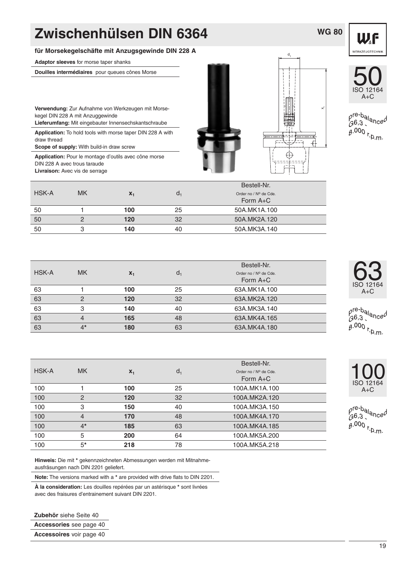#### **für Morsekegelschäfte mit Anzugsgewinde DIN 228 A**

**Adaptor sleeves** for morse taper shanks

**Douilles intermédiaires** pour queues cônes Morse

**Verwendung:** Zur Aufnahme von Werkzeugen mit Morsekegel DIN 228 A mit Anzuggewinde

**Lieferumfang:** Mit eingebauter Innensechskantschraube

**Application:** To hold tools with morse taper DIN 228 A with draw thread

**Scope of supply:** With build-in draw screw

**Application:** Pour le montage d'outils avec cône morse DIN 228 A avec trous taraude **Livraison:** Avec vis de serrage

![](_page_18_Picture_9.jpeg)

![](_page_18_Picture_10.jpeg)

**WG 80**

![](_page_18_Picture_11.jpeg)

pre-ba<sub>lance</sub>d<br>G6,3<br>g.000 r<sub>.p.m</sub>,

|              |           |       |    | Bestell-Nr.                         |
|--------------|-----------|-------|----|-------------------------------------|
| <b>HSK-A</b> | <b>MK</b> | $X_1$ | a. | Order no / Nº de Cde.<br>Form $A+C$ |
| 50           |           | 100   | 25 | 50A.MK1A.100                        |
| 50           |           | 120   | 32 | 50A.MK2A.120                        |
| 50           |           | 140   | 40 | 50A.MK3A.140                        |

| <b>HSK-A</b> | <b>MK</b> | $X_1$ | $d_1$ | Bestell-Nr.<br>Order no / Nº de Cde.<br>Form $A+C$ |
|--------------|-----------|-------|-------|----------------------------------------------------|
| 63           |           | 100   | 25    | 63A.MK1A.100                                       |
| 63           | 2         | 120   | 32    | 63A.MK2A.120                                       |
| 63           | 3         | 140   | 40    | 63A.MK3A.140                                       |
| 63           | 4         | 165   | 48    | 63A.MK4A.165                                       |
| 63           | $4*$      | 180   | 63    | 63A.MK4A.180                                       |

| HSK-A | <b>MK</b>      | $X_1$ | $d_1$ | Bestell-Nr.<br>Order no / Nº de Cde.<br>Form $A+C$ |
|-------|----------------|-------|-------|----------------------------------------------------|
| 100   |                | 100   | 25    | 100A.MK1A.100                                      |
| 100   | $\overline{2}$ | 120   | 32    | 100A.MK2A.120                                      |
| 100   | 3              | 150   | 40    | 100A.MK3A.150                                      |
| 100   | $\overline{4}$ | 170   | 48    | 100A.MK4A.170                                      |
| 100   | $4*$           | 185   | 63    | 100A.MK4A.185                                      |
| 100   | 5              | 200   | 64    | 100A.MK5A.200                                      |
| 100   | $5*$           | 218   | 78    | 100A.MK5A.218                                      |

**Hinweis:** Die mit **\*** gekennzeichneten Abmessungen werden mit Mitnahmeausfräsungen nach DIN 2201 geliefert.

**Note:** The versions marked with a **\*** are provided with drive flats to DIN 2201.

**À la consideration:** Les douilles repérées par un astérisque **\*** sont livrées avec des fraisures d'entrainement suivant DIN 2201.

**Zubehör** siehe Seite 40 **Accessories** see page 40

**Accessoires** voir page 40

![](_page_18_Picture_21.jpeg)

ISO 12164 63

 $A+C$ 

![](_page_18_Picture_22.jpeg)

pre-ba<sub>lance</sub>d<br>G6,3<br>g.000 r<sub>.p.m</sub>,

19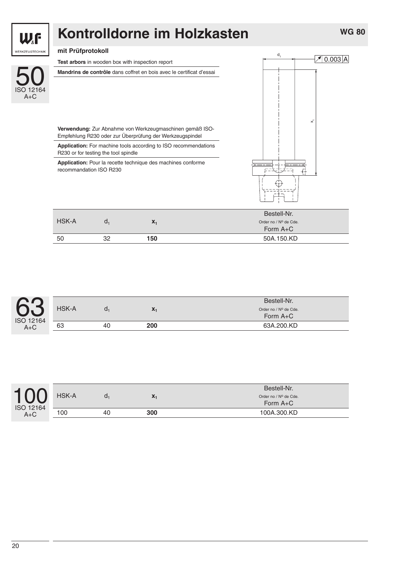![](_page_19_Picture_0.jpeg)

#### **mit Prüfprotokoll**

50<br>ISO 12164

WF

WERKZEUGTECHNIK

A+C

![](_page_19_Picture_2.jpeg)

**Verwendung:** Zur Abnahme von Werkzeugmaschinen gemäß ISO-Empfehlung R230 oder zur Überprüfung der Werkzeugspindel

**Application:** For machine tools according to ISO recommendations R230 or for testing the tool spindle

**Application:** Pour la recette technique des machines conforme recommandation ISO R230

|              |    |              | Bestell-Nr.           |
|--------------|----|--------------|-----------------------|
| <b>HSK-A</b> |    | $\mathbf{A}$ | Order no / Nº de Cde. |
|              |    |              | Form $A+C$            |
| 50           | מפ | 150          | 50A.150.KD            |

| $\mathbf{\Omega}$    |              |    |              | Bestell-Nr.                       |
|----------------------|--------------|----|--------------|-----------------------------------|
|                      | <b>HSK-A</b> | u. | $\mathbf{v}$ | Order no / Nº de Cde.<br>Form A+C |
| ISO 12164<br>$A + C$ | 63           | 40 | 200          | 63A.200.KD                        |

![](_page_19_Picture_8.jpeg)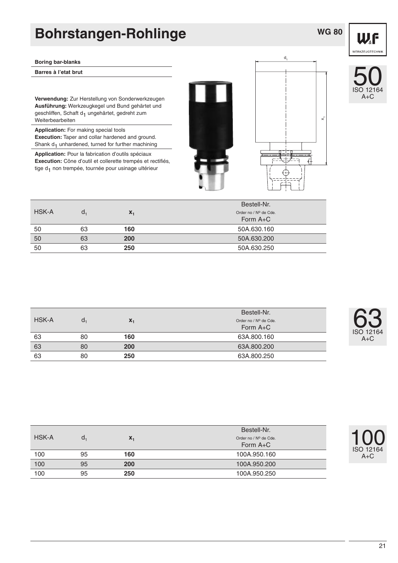### **Bohrstangen-Rohlinge**

#### **Boring bar-blanks**

**Barres à l'etat brut**

**Verwendung:** Zur Herstellung von Sonderwerkzeugen **Ausführung:** Werkzeugkegel und Bund gehärtet und geschliffen, Schaft d<sub>1</sub> ungehärtet, gedreht zum Weiterbearbeiten

**Application:** For making special tools **Execution:** Taper and collar hardened and ground. Shank  $d_1$  unhardened, turned for further machining

**Application:** Pour la fabrication d'outils spéciaux **Execution:** Cône d'outil et collerette trempés et rectifiés, tige d<sub>1</sub> non trempée, tournée pour usinage ultérieur

![](_page_20_Picture_6.jpeg)

![](_page_20_Picture_7.jpeg)

![](_page_20_Picture_8.jpeg)

**WG 80**

![](_page_20_Picture_9.jpeg)

|              |                |       | Bestell-Nr.           |
|--------------|----------------|-------|-----------------------|
| <b>HSK-A</b> | a <sub>1</sub> | $X_1$ | Order no / Nº de Cde. |
|              |                |       | Form A+C              |
| 50           | 63             | 160   | 50A.630.160           |
| 50           | 63             | 200   | 50A.630.200           |
| 50           | 63             | 250   | 50A.630.250           |
|              |                |       |                       |

|       |    |       | Bestell-Nr.                       |
|-------|----|-------|-----------------------------------|
| HSK-A | a. | $X_1$ | Order no / Nº de Cde.<br>Form A+C |
| 63    | 80 | 160   | 63A.800.160                       |
| 63    | 80 | 200   | 63A,800,200                       |
| 63    | 80 | 250   | 63A.800.250                       |

![](_page_20_Picture_12.jpeg)

100 ISO 12164

A+C

|              |    |       | Bestell-Nr.                       |
|--------------|----|-------|-----------------------------------|
| <b>HSK-A</b> | a, | $X_1$ | Order no / Nº de Cde.<br>Form A+C |
| 100          | 95 | 160   | 100A.950.160                      |
| 100          | 95 | 200   | 100A.950.200                      |
| 100          | 95 | 250   | 100A.950.250                      |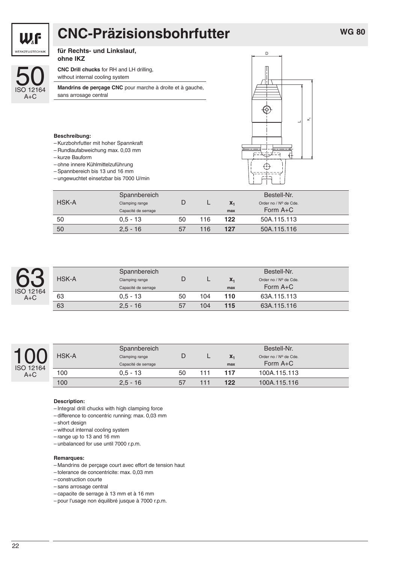# **CNC-Präzisionsbohrfutter**

![](_page_21_Picture_2.jpeg)

WF WERKZEUGTECHNIK

#### **für Rechts- und Linkslauf, ohne IKZ**

**CNC Drill chucks** for RH and LH drilling, without internal cooling system

**Mandrins de perçage CNC** pour marche à droite et à gauche, sans arrosage central

![](_page_21_Figure_6.jpeg)

#### **Beschreibung:**

- Kurzbohrfutter mit hoher Spannkraft
- Rundlaufabweichung max. 0,03 mm
- kurze Bauform
- ohne innere Kühlmittelzuführung
- Spannbereich bis 13 und 16 mm
- ungewuchtet einsetzbar bis 7000 U/min

|       | Spannbereich        |    |     |                | Bestell-Nr.           |  |
|-------|---------------------|----|-----|----------------|-----------------------|--|
| HSK-A | Clamping range      |    |     | $\mathbf{X}_1$ | Order no / Nº de Cde. |  |
|       | Capacité de serrage |    |     | max            | Form $A+C$            |  |
| 50    | $0.5 - 13$          | 50 | 116 | 122            | 50A.115.113           |  |
| 50    | $2.5 - 16$          | 57 | 116 | 127            | 50A.115.116           |  |

| 12164<br>IS |
|-------------|
|-------------|

|       | Spannbereich        |    | Bestell-Nr. |       |                       |  |
|-------|---------------------|----|-------------|-------|-----------------------|--|
| HSK-A | Clamping range      |    |             | $X_1$ | Order no / Nº de Cde. |  |
|       | Capacité de serrage |    |             | max   | Form $A+C$            |  |
| 63    | $0.5 - 13$          | 50 | 104         | 110   | 63A.115.113           |  |
| 63    | $2.5 - 16$          | 57 | 104         | 115   | 63A.115.116           |  |

![](_page_21_Picture_17.jpeg)

| <b>HSK-A</b> | Spannbereich<br>Clamping range<br>Capacité de serrage |    |     | $X_1$<br>max | Bestell-Nr.<br>Order no / Nº de Cde.<br>Form $A+C$ |
|--------------|-------------------------------------------------------|----|-----|--------------|----------------------------------------------------|
| 100          | $0.5 - 13$                                            | 50 | 111 | 117          | 100A.115.113                                       |
| 100          | $2.5 - 16$                                            | 57 | 111 | 122          | 100A.115.116                                       |

#### **Description:**

- Integral drill chucks with high clamping force
- difference to concentric running: max. 0,03 mm
- short design
- without internal cooling system
- range up to 13 and 16 mm
- unbalanced for use until 7000 r.p.m.

#### **Remarques:**

- Mandrins de perçage court avec effort de tension haut
- tolerance de concentricite: max. 0,03 mm
- construction courte
- sans arrosage central
- capacite de serrage à 13 mm et à 16 mm
- pour l'usage non équilibré jusque à 7000 r.p.m.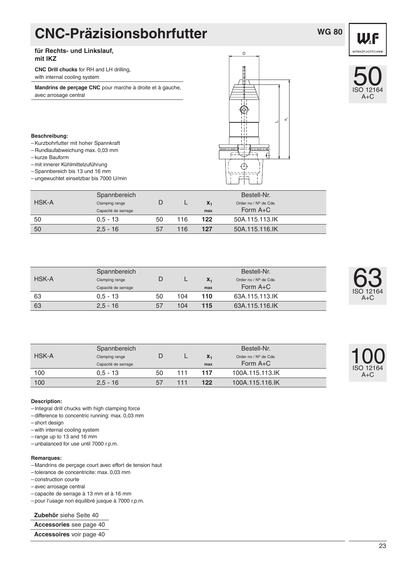## **CNC-Präzisionsbohrfutter**

### **WG 80**

WF **WERKZEUGTECHNIK** 

#### **für Rechts- und Linkslauf, mit IKZ**

**CNC Drill chucks** for RH and LH drilling, with internal cooling system

**Mandrins de perçage CNC** pour marche à droite et à gauche, avec arrosage central

![](_page_22_Figure_6.jpeg)

D

### ISO 12164 50 A+C

#### **Beschreibung:**

- Kurzbohrfutter mit hoher Spannkraft
- Rundlaufabweichung max. 0,03 mm
- kurze Bauform
- mit innerer Kühlmittelzuführung
- Spannbereich bis 13 und 16 mm
- ungewuchtet einsetzbar bis 7000 U/min

|       | Spannbereich        |    |     |       | Bestell-Nr.           |  |
|-------|---------------------|----|-----|-------|-----------------------|--|
| HSK-A | Clamping range      |    |     | $X_1$ | Order no / Nº de Cde. |  |
|       | Capacité de serrage |    |     | max   | Form $A+C$            |  |
| 50    | $0.5 - 13$          | 50 | 116 | 122   | 50A.115.113.IK        |  |
| 50    | $2.5 - 16$          | 57 | 116 | 127   | 50A.115.116.IK        |  |

|       | Spannbereich        |    |     |       | Bestell-Nr.           |
|-------|---------------------|----|-----|-------|-----------------------|
| HSK-A | Clamping range      |    |     | $X_1$ | Order no / Nº de Cde. |
|       | Capacité de serrage |    |     | max   | Form $A+C$            |
| 63    | $0.5 - 13$          | 50 | 104 | 110   | 63A.115.113.IK        |
| 63    | $2.5 - 16$          | 57 | 104 | 115   | 63A.115.116.IK        |

| ISO 12164<br>$A+C$ |
|--------------------|
|                    |

**69** 

|              | Spannbereich        |    |       | Bestell-Nr.           |  |
|--------------|---------------------|----|-------|-----------------------|--|
| <b>HSK-A</b> | Clamping range      |    | $X_1$ | Order no / Nº de Cde. |  |
|              | Capacité de serrage |    | max   | Form $A+C$            |  |
| 100          | $0.5 - 13$          | 50 | 117   | 100A.115.113.IK       |  |
| 100          | $2.5 - 16$          | 57 | 122   | 100A.115.116.IK       |  |

![](_page_22_Picture_19.jpeg)

#### **Description:**

- Integral drill chucks with high clamping force
- difference to concentric running: max. 0,03 mm
- short design
- with internal cooling system
- range up to 13 and 16 mm
- unbalanced for use until 7000 r.p.m.

#### **Remarques:**

- Mandrins de perçage court avec effort de tension haut
- tolerance de concentricite: max. 0,03 mm
- construction courte

– avec arrosage central

- capacite de serrage à 13 mm et à 16 mm
- pour l'usage non équilibré jusque à 7000 r.p.m.

#### **Zubehör** siehe Seite 40

**Accessories** see page 40

**Accessoires** voir page 40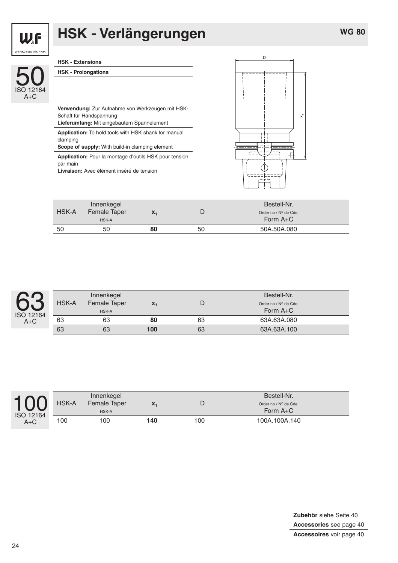$\times$ 

![](_page_23_Picture_1.jpeg)

# **HSK - Verlängerungen**

| WERKZEUGTECHNIK    |                                                                                                                            |   |  |
|--------------------|----------------------------------------------------------------------------------------------------------------------------|---|--|
|                    | <b>HSK - Extensions</b>                                                                                                    | D |  |
| ISO 12164<br>$A+C$ | <b>HSK - Prolongations</b>                                                                                                 |   |  |
|                    | Verwendung: Zur Aufnahme von Werkzeugen mit HSK-<br>Schaft für Handspannung<br>Lieferumfang: Mit eingebautem Spannelement  |   |  |
|                    | <b>Application:</b> To hold tools with HSK shank for manual<br>clamping<br>Scope of supply: With build-in clamping element |   |  |
|                    | <b>Application:</b> Pour la montage d'outils HSK pour tension<br>par main<br>Livraison: Avec élément inséré de tension     |   |  |

|       | Innenkegel   |                |    | Bestell-Nr.           |  |
|-------|--------------|----------------|----|-----------------------|--|
| HSK-A | Female Taper | $\mathbf{x}_1$ |    | Order no / Nº de Cde. |  |
|       | HSK-A        |                |    | Form $A+C$            |  |
| 50    | 50           | 80             | 50 | 50A.50A.080           |  |

| 12164<br>IS<br>÷ |
|------------------|

| HSK-A | Innenkegel<br>Female Taper |       |    | Bestell-Nr.                         |  |
|-------|----------------------------|-------|----|-------------------------------------|--|
|       | HSK-A                      | $X_1$ |    | Order no / Nº de Cde.<br>Form $A+C$ |  |
| 63    | 63                         | 80    | 63 | 63A.63A.080                         |  |
| 63    | 63                         | 100   | 63 | 63A.63A.100                         |  |

![](_page_23_Picture_7.jpeg)

|       | Innenkegel   |       |     | Bestell-Nr.           |
|-------|--------------|-------|-----|-----------------------|
| HSK-A | Female Taper | $X_1$ |     | Order no / Nº de Cde. |
|       | <b>HSK-A</b> |       |     | Form $A+C$            |
| 100   | 100          | 140   | 100 | 100A.100A.140         |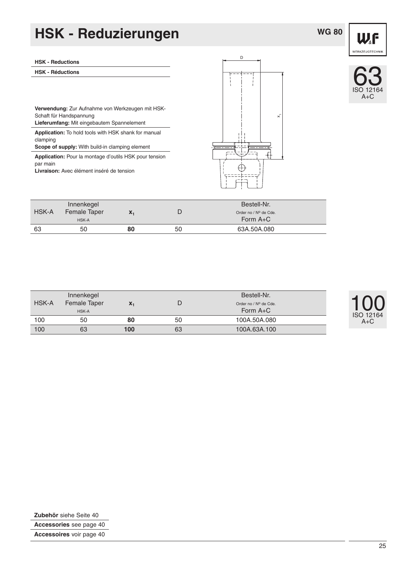# **HSK - Reduzierungen**

### **WG 80**

![](_page_24_Figure_2.jpeg)

63

A+C

| <b>HSK - Reductions</b>                                                                                                          |
|----------------------------------------------------------------------------------------------------------------------------------|
| <b>HSK - Réductions</b>                                                                                                          |
|                                                                                                                                  |
|                                                                                                                                  |
| <b>Verwendung:</b> Zur Aufnahme von Werkzeugen mit HSK-<br>Schaft für Handspannung<br>Lieferumfang: Mit eingebautem Spannelement |
| <b>Application:</b> To hold tools with HSK shank for manual<br>clamping<br>Scope of supply: With build-in clamping element       |
| <b>Application:</b> Pour la montage d'outils HSK pour tension<br>par main<br>Livraison: Avec élément inséré de tension           |

|       | Innenkegel   |              |    | Bestell-Nr.           |  |
|-------|--------------|--------------|----|-----------------------|--|
| HSK-A | Female Taper | $\mathbf{X}$ |    | Order no / Nº de Cde. |  |
|       | HSK-A        |              |    | Form A+C              |  |
| 63    | 50           | 80           | 50 | 63A.50A.080           |  |

| <b>HSK-A</b> | Innenkegel<br>Female Taper<br>HSK-A | $\mathbf{A}_1$ |    | Bestell-Nr.<br>Order no / Nº de Cde.<br>Form $A+C$ | ISO 12164 |
|--------------|-------------------------------------|----------------|----|----------------------------------------------------|-----------|
| 100          | 50                                  | 80             | 50 | 100A.50A.080                                       | $A+C$     |
| 100          | 63                                  | 100            | 63 | 100A.63A.100                                       |           |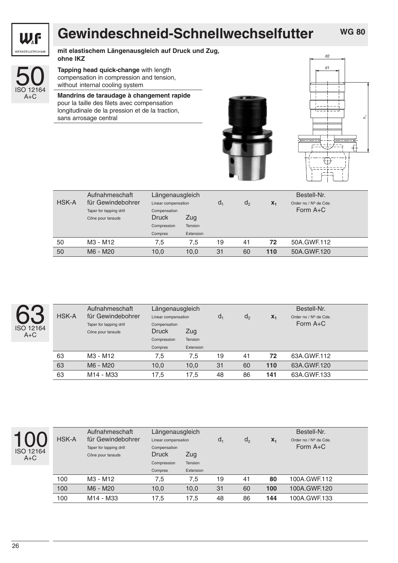![](_page_25_Picture_0.jpeg)

## **Gewindeschneid-Schnellwechselfutter**

**mit elastischem Längenausgleich auf Druck und Zug, ohne IKZ**

![](_page_25_Picture_4.jpeg)

#### **Tapping head quick-change** with length compensation in compression and tension, without internal cooling system

**Mandrins de taraudage à changement rapide** pour la taille des filets avec compensation longitudinale de la pression et de la traction, sans arrosage central

![](_page_25_Picture_7.jpeg)

![](_page_25_Figure_8.jpeg)

| <b>HSK-A</b> | Aufnahmeschaft<br>für Gewindebohrer<br>Taper for tapping drill | Längenausgleich<br>Linear compensation<br>Compensation |           | d. | d <sub>2</sub> | $X_1$ | Bestell-Nr.<br>Order no / Nº de Cde.<br>Form $A+C$ |
|--------------|----------------------------------------------------------------|--------------------------------------------------------|-----------|----|----------------|-------|----------------------------------------------------|
|              | Cône pour tarauds                                              | <b>Druck</b>                                           | Zug       |    |                |       |                                                    |
|              |                                                                | Compression                                            | Tension   |    |                |       |                                                    |
|              |                                                                | Compres                                                | Extension |    |                |       |                                                    |
| 50           | M3 - M12                                                       | 7.5                                                    | 7.5       | 19 | 41             | 72    | 50A.GWF.112                                        |
| 50           | M6 - M20                                                       | 10,0                                                   | 10,0      | 31 | 60             | 110   | 50A.GWF.120                                        |

| HSK-A | Aufnahmeschaft<br>für Gewindebohrer | Längenausgleich<br>Linear compensation |           | $d_1$ | d <sub>2</sub> | $X_1$ | Bestell-Nr.<br>Order no / Nº de Cde. |
|-------|-------------------------------------|----------------------------------------|-----------|-------|----------------|-------|--------------------------------------|
|       | Taper for tapping drill             | Compensation                           |           |       |                |       | Form $A+C$                           |
|       | Cône pour tarauds                   | <b>Druck</b>                           | Zug       |       |                |       |                                      |
|       |                                     | Compression                            | Tension   |       |                |       |                                      |
|       |                                     | Compres                                | Extension |       |                |       |                                      |
| 63    | M3 - M12                            | 7,5                                    | 7.5       | 19    | 41             | 72    | 63A.GWF.112                          |
| 63    | M6 - M20                            | 10,0                                   | 10,0      | 31    | 60             | 110   | 63A.GWF.120                          |
| 63    | M14 - M33                           | 17,5                                   | 17,5      | 48    | 86             | 141   | 63A.GWF.133                          |
|       |                                     |                                        |           |       |                |       |                                      |

![](_page_25_Picture_12.jpeg)

|              | Aufnahmeschaft          | Längenausgleich     |           | Bestell-Nr. |         |       |                       |  |  |  |
|--------------|-------------------------|---------------------|-----------|-------------|---------|-------|-----------------------|--|--|--|
| <b>HSK-A</b> | für Gewindebohrer       | Linear compensation |           | $d_1$       | $d_{2}$ | $X_1$ | Order no / Nº de Cde. |  |  |  |
|              | Taper for tapping drill | Compensation        |           |             |         |       | Form $A+C$            |  |  |  |
|              | Cône pour tarauds       | <b>Druck</b>        | Zug       |             |         |       |                       |  |  |  |
|              |                         | Compression         | Tension   |             |         |       |                       |  |  |  |
|              |                         | Compres             | Extension |             |         |       |                       |  |  |  |
| 100          | M3 - M12                | 7.5                 | 7.5       | 19          | 41      | 80    | 100A.GWF.112          |  |  |  |
| 100          | M6 - M20                | 10,0                | 10,0      | 31          | 60      | 100   | 100A.GWF.120          |  |  |  |
| 100          | M14 - M33               | 17,5                | 17,5      | 48          | 86      | 144   | 100A.GWF.133          |  |  |  |
|              |                         |                     |           |             |         |       |                       |  |  |  |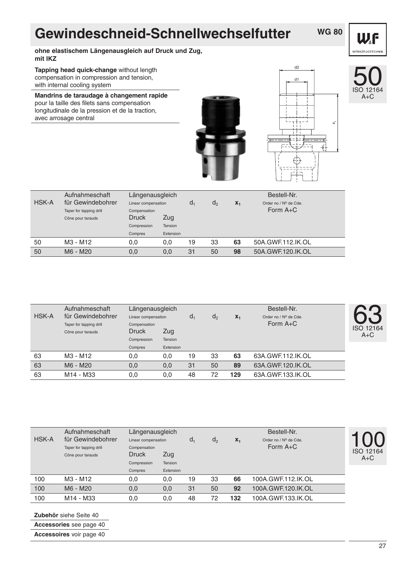## **Gewindeschneid-Schnellwechselfutter**

### **WG 80**

WF WERKZEUGTECHNIK

**ohne elastischem Längenausgleich auf Druck und Zug, mit IKZ**

**Tapping head quick-change** without length compensation in compression and tension, with internal cooling system

**Mandrins de taraudage à changement rapide** pour la taille des filets sans compensation longitudinale de la pression et de la traction, avec arrosage central

![](_page_26_Picture_6.jpeg)

![](_page_26_Picture_7.jpeg)

d2

![](_page_26_Picture_8.jpeg)

|       | Aufnahmeschaft          | Längenausgleich     |           |       |                |       | Bestell-Nr.           |  |
|-------|-------------------------|---------------------|-----------|-------|----------------|-------|-----------------------|--|
| HSK-A | für Gewindebohrer       | Linear compensation |           | $d_1$ | d <sub>2</sub> | $X_1$ | Order no / Nº de Cde. |  |
|       | Taper for tapping drill | Compensation        |           |       |                |       | Form $A+C$            |  |
|       | Cône pour tarauds       | <b>Druck</b>        | Zug       |       |                |       |                       |  |
|       |                         | Compression         | Tension   |       |                |       |                       |  |
|       |                         | Compres             | Extension |       |                |       |                       |  |
| 50    | M3 - M12                | 0,0                 | 0.0       | 19    | 33             | 63    | 50A.GWF.112.IK.OL     |  |
| 50    | M6 - M20                | 0,0                 | 0,0       | 31    | 50             | 98    | 50A.GWF.120.IK.OL     |  |

| HSK-A | Aufnahmeschaft<br>Längenausgleich<br>für Gewindebohrer<br>Linear compensation |                              |           | d. | $d_{2}$ | $X_1$ | Bestell-Nr.<br>Order no / Nº de Cde. |                           |
|-------|-------------------------------------------------------------------------------|------------------------------|-----------|----|---------|-------|--------------------------------------|---------------------------|
|       | Taper for tapping drill<br>Cône pour tarauds                                  | Compensation<br><b>Druck</b> | Zug       |    |         |       | Form $A+C$                           | <b>ISO 12164</b><br>$A+C$ |
|       |                                                                               | Compression                  | Tension   |    |         |       |                                      |                           |
|       |                                                                               | Compres                      | Extension |    |         |       |                                      |                           |
| 63    | M3 - M12                                                                      | 0,0                          | 0,0       | 19 | 33      | 63    | 63A.GWF.112.IK.OL                    |                           |
| 63    | M6 - M20                                                                      | 0,0                          | 0,0       | 31 | 50      | 89    | 63A.GWF.120.IK.OL                    |                           |
| 63    | M14 - M33                                                                     | 0,0                          | 0,0       | 48 | 72      | 129   | 63A.GWF.133.IK.OL                    |                           |
|       |                                                                               |                              |           |    |         |       |                                      |                           |

| HSK-A | Aufnahmeschaft<br>für Gewindebohrer<br>Taper for tapping drill | Längenausgleich<br>Linear compensation<br>Compensation |           | d. | $d_{2}$ | $X_1$ | Bestell-Nr.<br>Order no / Nº de Cde.<br>Form $A+C$ |                    |
|-------|----------------------------------------------------------------|--------------------------------------------------------|-----------|----|---------|-------|----------------------------------------------------|--------------------|
|       | Cône pour tarauds                                              | <b>Druck</b>                                           | Zug       |    |         |       |                                                    | ISO 12164<br>$A+C$ |
|       |                                                                | Compression                                            | Tension   |    |         |       |                                                    |                    |
|       |                                                                | Compres                                                | Extension |    |         |       |                                                    |                    |
| 100   | M3 - M12                                                       | 0,0                                                    | 0,0       | 19 | 33      | 66    | 100A.GWF.112.IK.OL                                 |                    |
| 100   | M6 - M20                                                       | 0,0                                                    | 0,0       | 31 | 50      | 92    | 100A.GWF.120.IK.OL                                 |                    |
| 100   | M14 - M33                                                      | 0,0                                                    | 0,0       | 48 | 72      | 132   | 100A.GWF.133.IK.OL                                 |                    |

**Zubehör** siehe Seite 40

**Accessories** see page 40

**Accessoires** voir page 40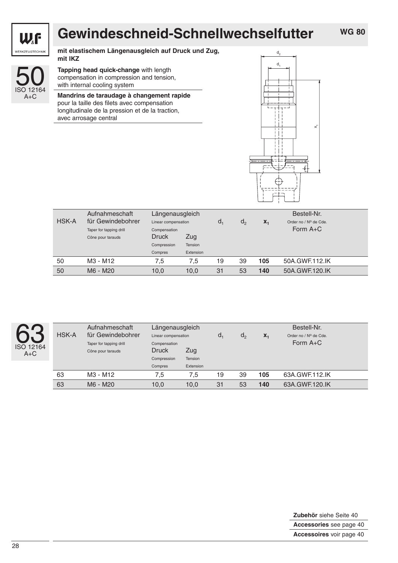![](_page_27_Picture_0.jpeg)

# **Gewindeschneid-Schnellwechselfutter**

**mit elastischem Längenausgleich auf Druck und Zug, mit IKZ**

![](_page_27_Picture_4.jpeg)

**Tapping head quick-change** with length compensation in compression and tension, with internal cooling system

**Mandrins de taraudage à changement rapide** pour la taille des filets avec compensation longitudinale de la pression et de la traction, avec arrosage central

![](_page_27_Figure_7.jpeg)

|              | Aufnahmeschaft          | Längenausgleich        |           |    |         |       | Bestell-Nr.           |
|--------------|-------------------------|------------------------|-----------|----|---------|-------|-----------------------|
| <b>HSK-A</b> | für Gewindebohrer       | Linear compensation    |           | d. | $d_{2}$ | $X_1$ | Order no / Nº de Cde. |
|              | Taper for tapping drill | Compensation           |           |    |         |       | Form $A+C$            |
|              | Cône pour tarauds       | Druck                  | Zug       |    |         |       |                       |
|              |                         | Tension<br>Compression |           |    |         |       |                       |
|              |                         | Compres                | Extension |    |         |       |                       |
| 50           | M3 - M12                | 7.5                    | 7.5       | 19 | 39      | 105   | 50A.GWF.112.IK        |
| 50           | M6 - M20                | 10,0                   | 10.0      | 31 | 53      | 140   | 50A.GWF.120.IK        |

![](_page_27_Picture_9.jpeg)

| HSK-A | Aufnahmeschaft<br>für Gewindebohrer | Längenausgleich<br>Linear compensation | $d_1$     | $d_{2}$ | $X_1$ | Bestell-Nr.<br>Order no / Nº de Cde. |                |
|-------|-------------------------------------|----------------------------------------|-----------|---------|-------|--------------------------------------|----------------|
|       | Taper for tapping drill             | Compensation                           |           |         |       |                                      | Form $A+C$     |
|       | Cône pour tarauds                   | <b>Druck</b><br>Zug                    |           |         |       |                                      |                |
|       |                                     | Compression<br>Tension                 |           |         |       |                                      |                |
|       |                                     | Compres                                | Extension |         |       |                                      |                |
| 63    | M3 - M12                            | 7.5                                    | 7.5       | 19      | 39    | 105                                  | 63A.GWF.112.IK |
| 63    | M6 - M20                            | 10,0                                   | 10,0      | 31      | 53    | 140                                  | 63A.GWF.120.IK |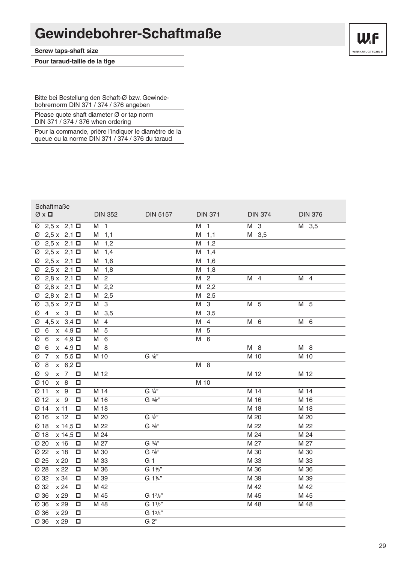### **Gewindebohrer-Schaftmaße**

**Screw taps-shaft size**

**Pour taraud-taille de la tige**

![](_page_28_Picture_3.jpeg)

Bitte bei Bestellung den Schaft-Ø bzw. Gewindebohrernorm DIN 371 / 374 / 376 angeben

Please quote shaft diameter Ø or tap norm DIN 371 / 374 / 376 when ordering

Pour la commande, prière l'indiquer le diamètre de la queue ou la norme DIN 371 / 374 / 376 du taraud

| Schaftmaße<br>$\emptyset \times \square$   | <b>DIN 352</b>                 | <b>DIN 5157</b>                   | <b>DIN 371</b>      | <b>DIN 374</b> | <b>DIN 376</b>      |
|--------------------------------------------|--------------------------------|-----------------------------------|---------------------|----------------|---------------------|
| $2,5 \times 2,1$<br>Ø                      | $\overline{1}$<br>M            |                                   | $\mathbf{1}$<br>м   | M 3            | M 3,5               |
| $2,5 \times 2,1 \Box$<br>Ø                 | 1,1<br>M                       |                                   | 1,1<br>M            | M 3,5          |                     |
| $2,5 \times 2,1 \Box$<br>Ø                 | 1,2<br>M                       |                                   | 1,2<br>M            |                |                     |
| $2,5 \times 2,1 \Box$<br>Ø                 | 1,4<br>M                       |                                   | 1,4<br>M            |                |                     |
| $2,5 \times 2,1 \Box$<br>Ø                 | 1,6<br>M                       |                                   | 1,6<br>Μ            |                |                     |
| $2,5 \times 2,1 \Box$<br>Ø                 | 1,8<br>M                       |                                   | M<br>1,8            |                |                     |
| $2,8 \times 2,1$ $\square$<br>Ø            | $\mathbf{2}$<br>M              |                                   | $\overline{c}$<br>M | M 4            | M<br>$\overline{4}$ |
| $2,8 \times 2,1 \Box$<br>Ø                 | 2,2<br>M                       |                                   | 2,2<br>Μ            |                |                     |
| $2,8 \times 2,1$ $\square$<br>Ø            | 2,5<br>M                       |                                   | M<br>2,5            |                |                     |
| $3,5 \times 2,7$<br>Ø                      | $\ensuremath{\mathsf{3}}$<br>M |                                   | $\,3$<br>M          | M 5            | 5<br>M              |
| $\,3$<br>Ø<br>4<br>$\pmb{\mathsf{X}}$<br>□ | 3,5<br>M                       |                                   | 3,5<br>M            |                |                     |
| 4,5x<br>$3,4$ $\square$<br>Ø               | $\overline{4}$<br>M            |                                   | M<br>4              | M 6            | 6<br>M              |
| $x \quad 4.9$ $\square$<br>Ø<br>6          | 5<br>M                         |                                   | 5<br>Μ              |                |                     |
| $x \quad 4.9$ $\square$<br>Ø<br>6          | M 6                            |                                   | М<br>6              |                |                     |
| Ø<br>$x \quad 4.9$ $\square$<br>6          | M 8                            |                                   |                     | M 8            | M 8                 |
| $x$ 5,5 $\Box$<br>Ø<br>7                   | M 10                           | G 1/8"                            |                     | M 10           | M 10                |
| $x$ 6,2 $\Box$<br>Ø<br>8                   |                                |                                   | M 8                 |                |                     |
| Ø<br>9<br>$\overline{7}$<br>О<br>X         | M 12                           |                                   |                     | M 12           | M 12                |
| $Ø$ 10<br>x 8<br>□                         |                                |                                   | M 10                |                |                     |
| $Ø$ 11<br>$x \quad 9$<br>□                 | M 14                           | G 1/4"                            |                     | M 14           | M 14                |
| Ø 12<br>$x \quad 9$<br>□                   | M 16                           | $G \frac{3}{8}$ "                 |                     | M 16           | M 16                |
| x <sub>11</sub><br>Ø 14<br>□               | M 18                           |                                   |                     | M 18           | M 18                |
| x 12<br>Ø 16<br>о                          | M 20                           | G ½"                              |                     | M 20           | M 20                |
| $x 14,5 \Box$<br>Ø 18                      | M 22                           | G 5/8"                            |                     | M 22           | M 22                |
| Ø18<br>$x$ 14,5 $\Box$                     | M 24                           |                                   |                     | M 24           | M 24                |
| Ø 20<br>x 16<br>□                          | M 27                           | G 3/4"                            |                     | M 27           | M 27                |
| Ø 22<br>x 18<br>□                          | M 30                           | G 7/8"                            |                     | M 30           | M 30                |
| Ø 25<br>x 20<br>□                          | M 33                           | G <sub>1</sub>                    |                     | M 33           | M 33                |
| Ø 28<br>x 22<br>□                          | M 36                           | G 1%"                             |                     | M 36           | M 36                |
| Ø 32<br>x 34<br>□                          | M 39                           | G 11/4"                           |                     | M 39           | M 39                |
| Ø 32<br>x 24<br>□                          | M 42                           |                                   |                     | M 42           | M 42                |
| Ø 36<br>x 29<br>Ω                          | M 45                           | G 13/8"                           |                     | M 45           | M 45                |
| Ø 36<br>x 29<br>□                          | M 48                           | G 1 <sup>1</sup> / <sub>2</sub> " |                     | M 48           | M 48                |
| Ø 36<br>x 29<br>□                          |                                | G 13/4"                           |                     |                |                     |
| Ø 36<br>x 29<br>□                          |                                | G 2"                              |                     |                |                     |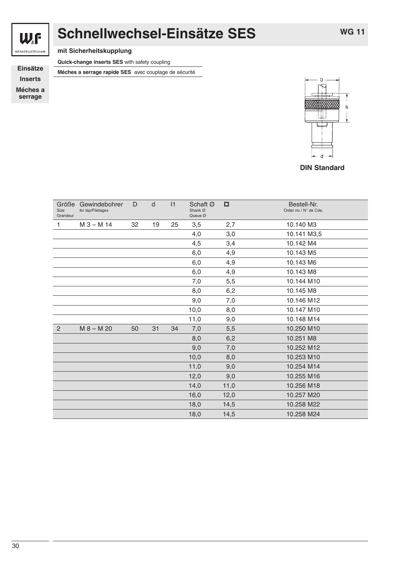![](_page_29_Picture_0.jpeg)

# **Schnellwechsel-Einsätze SES**

**WG 11**

**mit Sicherheitskupplung**

**Quick-change inserts SES** with safety coupling

**Einsätze** Méches a serrage rapide SES avec couplage de sécurité

**Inserts Méches a**

**serrage**

![](_page_29_Figure_9.jpeg)

**DIN Standard**

| Größe<br>Gewindebohrer<br>for tap/Filetages | D  | d  | 1  | Schaft Ø<br>Shank Ø<br>Queue Ø | □    | Bestell-Nr.<br>Order no / N° de Cde. |
|---------------------------------------------|----|----|----|--------------------------------|------|--------------------------------------|
| $M_3 - M_14$                                | 32 | 19 | 25 | 3,5                            | 2,7  | 10.140 M3                            |
|                                             |    |    |    | 4,0                            | 3,0  | 10.141 M3,5                          |
|                                             |    |    |    | 4,5                            | 3,4  | 10.142 M4                            |
|                                             |    |    |    | 6,0                            | 4,9  | 10.143 M5                            |
|                                             |    |    |    | 6,0                            | 4,9  | 10.143 M6                            |
|                                             |    |    |    | 6,0                            | 4,9  | 10.143 M8                            |
|                                             |    |    |    | 7,0                            | 5,5  | 10.144 M10                           |
|                                             |    |    |    | 8,0                            | 6,2  | 10.145 M8                            |
|                                             |    |    |    | 9,0                            | 7,0  | 10.146 M12                           |
|                                             |    |    |    | 10,0                           | 8,0  | 10.147 M10                           |
|                                             |    |    |    | 11,0                           | 9,0  | 10.148 M14                           |
| $M 8 - M 20$                                | 50 | 31 | 34 | 7,0                            | 5,5  | 10.250 M10                           |
|                                             |    |    |    | 8,0                            | 6,2  | 10.251 M8                            |
|                                             |    |    |    | 9,0                            | 7,0  | 10.252 M12                           |
|                                             |    |    |    | 10,0                           | 8,0  | 10.253 M10                           |
|                                             |    |    |    | 11,0                           | 9,0  | 10.254 M14                           |
|                                             |    |    |    | 12,0                           | 9,0  | 10.255 M16                           |
|                                             |    |    |    | 14,0                           | 11,0 | 10.256 M18                           |
|                                             |    |    |    | 16,0                           | 12,0 | 10.257 M20                           |
|                                             |    |    |    | 18,0                           | 14,5 | 10.258 M22                           |
|                                             |    |    |    | 18,0                           | 14,5 | 10.258 M24                           |
|                                             |    |    |    |                                |      |                                      |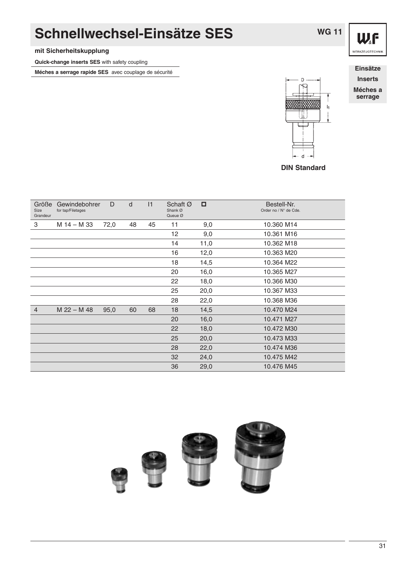## **Schnellwechsel-Einsätze SES**

#### **mit Sicherheitskupplung**

**Quick-change inserts SES** with safety coupling

**Méches a serrage rapide SES** avec couplage de sécurité **Einsätze Einsätze** 

**Inserts Méches a**

**serrage**

![](_page_30_Picture_7.jpeg)

| Größe<br>Size<br>Grandeur | Gewindebohrer<br>for tap/Filetages | D    | d  | 1  | Schaft Ø<br>Shank Ø<br>Queue Ø | □    | Bestell-Nr.<br>Order no / N° de Cde. |
|---------------------------|------------------------------------|------|----|----|--------------------------------|------|--------------------------------------|
| 3                         | M 14 – M 33                        | 72,0 | 48 | 45 | 11                             | 9,0  | 10.360 M14                           |
|                           |                                    |      |    |    | 12                             | 9,0  | 10.361 M16                           |
|                           |                                    |      |    |    | 14                             | 11,0 | 10.362 M18                           |
|                           |                                    |      |    |    | 16                             | 12,0 | 10.363 M20                           |
|                           |                                    |      |    |    | 18                             | 14,5 | 10.364 M22                           |
|                           |                                    |      |    |    | 20                             | 16,0 | 10.365 M27                           |
|                           |                                    |      |    |    | 22                             | 18,0 | 10.366 M30                           |
|                           |                                    |      |    |    | 25                             | 20,0 | 10.367 M33                           |
|                           |                                    |      |    |    | 28                             | 22,0 | 10.368 M36                           |
| $\overline{4}$            | $M$ 22 – M 48                      | 95,0 | 60 | 68 | 18                             | 14,5 | 10.470 M24                           |
|                           |                                    |      |    |    | 20                             | 16,0 | 10.471 M27                           |
|                           |                                    |      |    |    | 22                             | 18,0 | 10.472 M30                           |
|                           |                                    |      |    |    | 25                             | 20,0 | 10.473 M33                           |
|                           |                                    |      |    |    | 28                             | 22,0 | 10.474 M36                           |
|                           |                                    |      |    |    | 32                             | 24,0 | 10.475 M42                           |
|                           |                                    |      |    |    | 36                             | 29,0 | 10.476 M45                           |

![](_page_30_Picture_9.jpeg)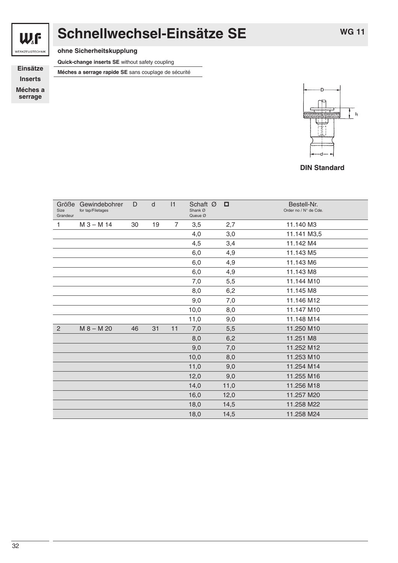![](_page_31_Picture_0.jpeg)

# **Schnellwechsel-Einsätze SE**

WERKZEUGTECHNIK

**ohne Sicherheitskupplung**

**Quick-change inserts SE** without safety coupling

**Inserts**

**Méches a serrage**

**Einsätze** Méches a serrage rapide SE sans couplage de sécurité

![](_page_31_Picture_8.jpeg)

#### **DIN Standard**

| Größe<br>Size<br>Grandeur | Gewindebohrer<br>for tap/Filetages | D  | d  | 1              | Schaft Ø<br>Shank Ø<br>Queue Ø | □    | Bestell-Nr.<br>Order no / N° de Cde. |
|---------------------------|------------------------------------|----|----|----------------|--------------------------------|------|--------------------------------------|
| 1                         | $M_3 - M_14$                       | 30 | 19 | $\overline{7}$ | 3,5                            | 2,7  | 11.140 M3                            |
|                           |                                    |    |    |                | 4,0                            | 3,0  | 11.141 M3,5                          |
|                           |                                    |    |    |                | 4,5                            | 3,4  | 11.142 M4                            |
|                           |                                    |    |    |                | 6,0                            | 4,9  | 11.143 M5                            |
|                           |                                    |    |    |                | 6,0                            | 4,9  | 11.143 M6                            |
|                           |                                    |    |    |                | 6,0                            | 4,9  | 11.143 M8                            |
|                           |                                    |    |    |                | 7,0                            | 5,5  | 11.144 M10                           |
|                           |                                    |    |    |                | 8,0                            | 6,2  | 11.145 M8                            |
|                           |                                    |    |    |                | 9,0                            | 7,0  | 11.146 M12                           |
|                           |                                    |    |    |                | 10,0                           | 8,0  | 11.147 M10                           |
|                           |                                    |    |    |                | 11,0                           | 9,0  | 11.148 M14                           |
| 2                         | $M 8 - M 20$                       | 46 | 31 | 11             | 7,0                            | 5,5  | 11.250 M10                           |
|                           |                                    |    |    |                | 8,0                            | 6,2  | 11.251 M8                            |
|                           |                                    |    |    |                | 9,0                            | 7,0  | 11.252 M12                           |
|                           |                                    |    |    |                | 10,0                           | 8,0  | 11.253 M10                           |
|                           |                                    |    |    |                | 11,0                           | 9,0  | 11.254 M14                           |
|                           |                                    |    |    |                | 12,0                           | 9,0  | 11.255 M16                           |
|                           |                                    |    |    |                | 14,0                           | 11,0 | 11.256 M18                           |
|                           |                                    |    |    |                | 16,0                           | 12,0 | 11.257 M20                           |
|                           |                                    |    |    |                | 18,0                           | 14,5 | 11.258 M22                           |
|                           |                                    |    |    |                | 18,0                           | 14,5 | 11.258 M24                           |
|                           |                                    |    |    |                |                                |      |                                      |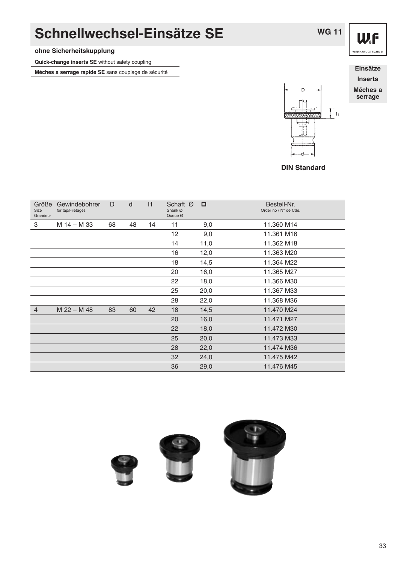### **Schnellwechsel-Einsätze SE**

#### **ohne Sicherheitskupplung**

**Quick-change inserts SE** without safety coupling

**Méches a serrage rapide SE** sans couplage de sécurité

![](_page_32_Figure_4.jpeg)

**WG 11**

![](_page_32_Figure_5.jpeg)

**DIN Standard**

| Größe<br><b>Size</b><br>Grandeur | Gewindebohrer<br>for tap/Filetages | D  | d  | 1  | Schaft Ø<br>Shank Ø<br>Queue Ø | □    | Bestell-Nr.<br>Order no / N° de Cde. |
|----------------------------------|------------------------------------|----|----|----|--------------------------------|------|--------------------------------------|
| 3                                | M 14 - M 33                        | 68 | 48 | 14 | 11                             | 9,0  | 11.360 M14                           |
|                                  |                                    |    |    |    | 12                             | 9,0  | 11.361 M16                           |
|                                  |                                    |    |    |    | 14                             | 11,0 | 11.362 M18                           |
|                                  |                                    |    |    |    | 16                             | 12,0 | 11.363 M20                           |
|                                  |                                    |    |    |    | 18                             | 14,5 | 11.364 M22                           |
|                                  |                                    |    |    |    | 20                             | 16,0 | 11.365 M27                           |
|                                  |                                    |    |    |    | 22                             | 18,0 | 11.366 M30                           |
|                                  |                                    |    |    |    | 25                             | 20,0 | 11.367 M33                           |
|                                  |                                    |    |    |    | 28                             | 22,0 | 11.368 M36                           |
| $\overline{4}$                   | $M$ 22 - M 48                      | 83 | 60 | 42 | 18                             | 14,5 | 11.470 M24                           |
|                                  |                                    |    |    |    | 20                             | 16,0 | 11.471 M27                           |
|                                  |                                    |    |    |    | 22                             | 18,0 | 11.472 M30                           |
|                                  |                                    |    |    |    | 25                             | 20,0 | 11.473 M33                           |
|                                  |                                    |    |    |    | 28                             | 22,0 | 11.474 M36                           |
|                                  |                                    |    |    |    | 32                             | 24,0 | 11.475 M42                           |
|                                  |                                    |    |    |    | 36                             | 29,0 | 11.476 M45                           |

![](_page_32_Picture_8.jpeg)

WF WERKZEUGTECHNIK

**Inserts Méches a serrage**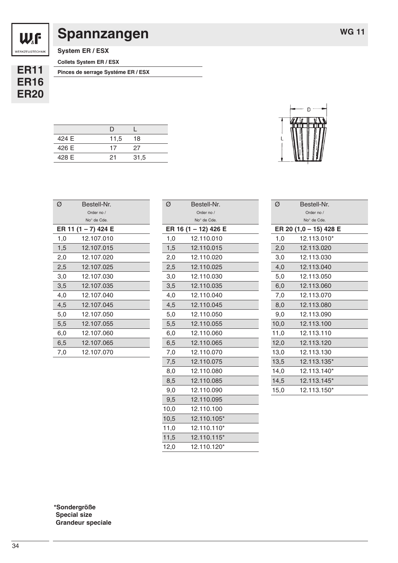### **Spannzangen**

**WG 11**

**System ER / ESX**

**Collets System ER / ESX**

**ER11 ER16 ER20**

**Pinces de serrage Systéme ER / ESX**

| 424 E | 11,5 | 18   |  |
|-------|------|------|--|
| 426 E | 17   | 27   |  |
| 428 E | 21   | 31,5 |  |

| Ø   | Bestell-Nr.         |  |
|-----|---------------------|--|
|     | Order no /          |  |
|     | No° de Cde.         |  |
|     | ER 11 (1 – 7) 424 E |  |
| 1,0 | 12.107.010          |  |
| 1,5 | 12.107.015          |  |
| 2.0 | 12.107.020          |  |
| 2,5 | 12.107.025          |  |
| 3,0 | 12.107.030          |  |
| 3,5 | 12.107.035          |  |
| 4,0 | 12.107.040          |  |
| 4,5 | 12.107.045          |  |
| 5,0 | 12.107.050          |  |
| 5,5 | 12.107.055          |  |
| 6.0 | 12.107.060          |  |
| 6,5 | 12.107.065          |  |
| 7.0 | 12.107.070          |  |

| Ø    | Bestell-Nr.          |
|------|----------------------|
|      | Order no /           |
|      | No° de Cde.          |
|      | ER 16 (1 – 12) 426 E |
| 1,0  | 12.110.010           |
| 1,5  | 12.110.015           |
| 2,0  | 12.110.020           |
| 2,5  | 12.110.025           |
| 3,0  | 12.110.030           |
| 3,5  | 12.110.035           |
| 4,0  | 12.110.040           |
| 4,5  | 12.110.045           |
| 5,0  | 12.110.050           |
| 5,5  | 12.110.055           |
| 6,0  | 12.110.060           |
| 6,5  | 12.110.065           |
| 7,0  | 12.110.070           |
| 7,5  | 12.110.075           |
| 8,0  | 12.110.080           |
| 8,5  | 12.110.085           |
| 9,0  | 12.110.090           |
| 9,5  | 12.110.095           |
| 10,0 | 12.110.100           |
| 10,5 | 12.110.105*          |
| 11,0 | 12.110.110*          |
| 11,5 | 12.110.115*          |
| 12,0 | 12.110.120*          |

![](_page_33_Picture_10.jpeg)

| Ø    | Bestell-Nr.            |  |
|------|------------------------|--|
|      | Order no /             |  |
|      | No° de Cde.            |  |
|      | ER 20 (1,0 – 15) 428 E |  |
| 1,0  | 12.113.010*            |  |
| 2,0  | 12.113.020             |  |
| 3,0  | 12.113.030             |  |
| 4,0  | 12.113.040             |  |
| 5,0  | 12.113.050             |  |
| 6,0  | 12.113.060             |  |
| 7,0  | 12.113.070             |  |
| 8,0  | 12.113.080             |  |
| 9,0  | 12.113.090             |  |
| 10,0 | 12.113.100             |  |
| 11,0 | 12.113.110             |  |
| 12,0 | 12.113.120             |  |
| 13,0 | 12.113.130             |  |
| 13,5 | 12.113.135*            |  |
| 14,0 | 12.113.140*            |  |
| 14,5 | 12.113.145*            |  |
| 15,0 | 12.113.150*            |  |

**\*Sondergröße Special size Grandeur speciale**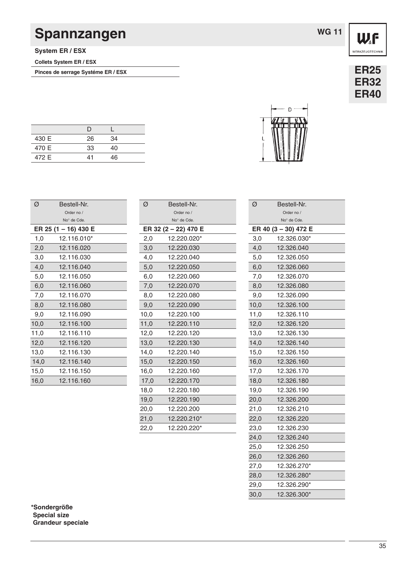### **Spannzangen**

**System ER / ESX**

**Collets System ER / ESX**

Pinces de serrage Systéme ER / ESX **ER25** 

|       | I) |    |  |
|-------|----|----|--|
| 430 E | 26 | 34 |  |
| 470 E | 33 | 40 |  |
| 472 E | 41 | 46 |  |

| Ø    | Bestell-Nr.          |  |
|------|----------------------|--|
|      | Order no /           |  |
|      | No° de Cde.          |  |
|      | ER 25 (1 – 16) 430 E |  |
| 1,0  | 12.116.010*          |  |
| 2,0  | 12.116.020           |  |
| 3,0  | 12.116.030           |  |
| 4,0  | 12.116.040           |  |
| 5,0  | 12.116.050           |  |
| 6,0  | 12.116.060           |  |
| 7,0  | 12.116.070           |  |
| 8,0  | 12.116.080           |  |
| 9,0  | 12.116.090           |  |
| 10,0 | 12.116.100           |  |
| 11,0 | 12.116.110           |  |
| 12,0 | 12.116.120           |  |
| 13,0 | 12.116.130           |  |
| 14,0 | 12.116.140           |  |
| 15,0 | 12.116.150           |  |
| 16,0 | 12.116.160           |  |

| Ø    | Bestell-Nr.          |
|------|----------------------|
|      | Order no /           |
|      | No° de Cde.          |
|      | ER 32 (2 - 22) 470 E |
| 2,0  | 12.220.020*          |
| 3,0  | 12.220.030           |
| 4,0  | 12.220.040           |
| 5,0  | 12.220.050           |
| 6,0  | 12.220.060           |
| 7,0  | 12.220.070           |
| 8,0  | 12.220.080           |
| 9,0  | 12.220.090           |
| 10,0 | 12.220.100           |
| 11,0 | 12.220.110           |
| 12,0 | 12.220.120           |
| 13,0 | 12.220.130           |
| 14,0 | 12.220.140           |
| 15,0 | 12.220.150           |
| 16,0 | 12.220.160           |
| 17,0 | 12.220.170           |
| 18,0 | 12.220.180           |
| 19,0 | 12.220.190           |
| 20,0 | 12.220.200           |
| 21,0 | 12.220.210*          |
| 22,0 | 12.220.220*          |
|      |                      |

| ER 40 (3 - 30) 472 E                                                                                       |
|------------------------------------------------------------------------------------------------------------|
| 3,0<br>12.326.030*                                                                                         |
| 4,0<br>12.326.040                                                                                          |
| 12.326.050<br>5,0                                                                                          |
| 6,0<br>12.326.060                                                                                          |
| 12.326.070                                                                                                 |
| 12.326.080                                                                                                 |
| 9,0<br>12.326.090                                                                                          |
| 10,0<br>12.326.100                                                                                         |
| 12.326.110                                                                                                 |
| 12.326.120                                                                                                 |
| 12.326.130                                                                                                 |
| 12.326.140                                                                                                 |
| 15,0<br>12.326.150                                                                                         |
| 12.326.160                                                                                                 |
| 12.326.170                                                                                                 |
| 18,0<br>12.326.180                                                                                         |
| 12.326.190                                                                                                 |
| 20,0<br>12.326.200                                                                                         |
| 12.326.210                                                                                                 |
| 12.326.220                                                                                                 |
| 12.326.230<br>23,0                                                                                         |
| 12.326.240                                                                                                 |
| 12.326.250<br>25,0                                                                                         |
| 26,0<br>12.326.260                                                                                         |
| 27,0<br>12.326.270*                                                                                        |
| 12.326.280*<br>28,0                                                                                        |
| 12.326.290*                                                                                                |
| 12.326.300*                                                                                                |
| 7,0<br>8,0<br>11,0<br>12,0<br>13,0<br>14,0<br>16,0<br>17,0<br>19,0<br>21,0<br>22,0<br>24,0<br>29,0<br>30,0 |

|      | ER 32 (2 - 22) 470 E |
|------|----------------------|
| 2,0  | 12.220.020*          |
| 3,0  | 12.220.030           |
| 4,0  | 12.220.040           |
| 5,0  | 12.220.050           |
| 6,0  | 12.220.060           |
| 7,0  | 12.220.070           |
| 8,0  | 12.220.080           |
| 9,0  | 12.220.090           |
| 10,0 | 12.220.100           |
| 11,0 | 12.220.110           |
| 12,0 | 12.220.120           |
| 13,0 | 12.220.130           |
| 14.0 | 12.220.140           |
| 15,0 | 12.220.150           |
| 16,0 | 12.220.160           |
| 17,0 | 12.220.170           |
| 18,0 | 12.220.180           |
| 19,0 | 12.220.190           |
| 20,0 | 12.220.200           |
| 21,0 | 12.220.210*          |
| 22,0 | 12.220.220*          |

![](_page_34_Picture_10.jpeg)

Ø Bestell-Nr.

Order no / No° de Cde.

| <b>ER32</b><br><b>ER40</b> |
|----------------------------|
|                            |
|                            |
|                            |
|                            |

![](_page_34_Picture_13.jpeg)

WF WERKZEUGTECHNIK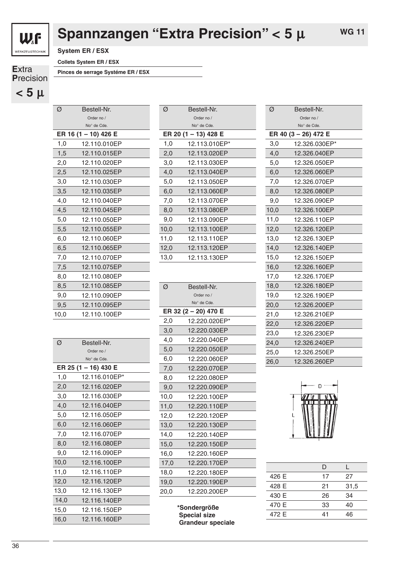![](_page_35_Picture_0.jpeg)

## **Spannzangen "Extra Precision" < 5** µ

**System ER / ESX**

**Collets System ER / ESX**

**P**recision  $<$  5  $\mu$ 

**E**xtra **Pinces de serrage Systéme ER / ESX**

| Ø          | Bestell-Nr.          |  |  |
|------------|----------------------|--|--|
| Order no / |                      |  |  |
|            | No° de Cde.          |  |  |
|            | ER 16 (1 – 10) 426 E |  |  |
| 1,0        | 12.110.010EP         |  |  |
| 1,5        | 12.110.015EP         |  |  |
| 2,0        | 12.110.020EP         |  |  |
| 2,5        | 12.110.025EP         |  |  |
| 3,0        | 12.110.030EP         |  |  |
| 3,5        | 12.110.035EP         |  |  |
| 4,0        | 12.110.040EP         |  |  |
| 4,5        | 12.110.045EP         |  |  |
| 5,0        | 12.110.050EP         |  |  |
| 5,5        | 12.110.055EP         |  |  |
| 6,0        | 12.110.060EP         |  |  |
| 6,5        | 12.110.065EP         |  |  |
| 7,0        | 12.110.070EP         |  |  |
| 7,5        | 12.110.075EP         |  |  |
| 8,0        | 12.110.080EP         |  |  |
| 8,5        | 12.110.085EP         |  |  |
| 9,0        | 12.110.090EP         |  |  |
| 9,5        | 12.110.095EP         |  |  |
| 10,0       | 12.110.100EP         |  |  |

| Ø    | Bestell-Nr.          |  |
|------|----------------------|--|
|      | Order no /           |  |
|      | No° de Cde.          |  |
|      | ER 25 (1 – 16) 430 E |  |
| 1,0  | 12.116.010EP*        |  |
| 2,0  | 12.116.020EP         |  |
| 3,0  | 12.116.030EP         |  |
| 4,0  | 12.116.040EP         |  |
| 5,0  | 12.116.050EP         |  |
| 6,0  | 12.116.060EP         |  |
| 7,0  | 12.116.070EP         |  |
| 8,0  | 12.116.080EP         |  |
| 9,0  | 12.116.090EP         |  |
| 10,0 | 12.116.100EP         |  |
| 11,0 | 12.116.110EP         |  |
| 12,0 | 12.116.120EP         |  |
| 13,0 | 12.116.130EP         |  |
| 14,0 | 12.116.140EP         |  |
| 15,0 | 12.116.150EP         |  |
| 16,0 | 12.116.160EP         |  |
|      |                      |  |

| Ø    | Bestell-Nr.          |  |
|------|----------------------|--|
|      | Order no /           |  |
|      | No° de Cde.          |  |
|      | ER 20 (1 – 13) 428 E |  |
| 1,0  | 12.113.010EP*        |  |
| 2,0  | 12.113.020EP         |  |
| 3,0  | 12.113.030EP         |  |
| 4,0  | 12.113.040EP         |  |
| 5,0  | 12.113.050EP         |  |
| 6.0  | 12.113.060EP         |  |
| 7,0  | 12.113.070EP         |  |
| 8,0  | 12.113.080EP         |  |
| 9,0  | 12.113.090EP         |  |
| 10,0 | 12.113.100EP         |  |
| 11.0 | 12.113.110EP         |  |
| 12,0 | 12.113.120EP         |  |
| 13,0 | 12.113.130EP         |  |
|      |                      |  |

| Ø          | Bestell-Nr.          |  |
|------------|----------------------|--|
| Order no / |                      |  |
|            | No° de Cde.          |  |
|            | ER 32 (2 – 20) 470 E |  |
| 2,0        | 12.220.020EP*        |  |
| 3,0        | 12.220.030EP         |  |
| 4,0        | 12.220.040EP         |  |
| 5,0        | 12.220.050EP         |  |
| 6,0        | 12.220.060EP         |  |
| 7,0        | 12.220.070EP         |  |
| 8,0        | 12.220.080EP         |  |
| 9,0        | 12.220.090EP         |  |
| 10,0       | 12.220.100EP         |  |
| 11,0       | 12.220.110EP         |  |
| 12,0       | 12.220.120EP         |  |
| 13,0       | 12.220.130EP         |  |
| 14,0       | 12.220.140EP         |  |
| 15,0       | 12.220.150EP         |  |
| 16,0       | 12.220.160EP         |  |
| 17,0       | 12.220.170EP         |  |
| 18,0       | 12.220.180EP         |  |
| 19,0       | 12.220.190EP         |  |
| 20,0       | 12.220.200EP         |  |
|            |                      |  |

**\*Sondergröße Special size Grandeur speciale**

| Ø<br>Bestell-Nr. |                      |  |
|------------------|----------------------|--|
| Order no /       |                      |  |
|                  | No° de Cde.          |  |
|                  | ER 40 (3 - 26) 472 E |  |
| 3,0              | 12.326.030EP*        |  |
| 4,0              | 12.326.040EP         |  |
| 5,0              | 12.326.050EP         |  |
| 6,0              | 12.326.060EP         |  |
| 7,0              | 12.326.070EP         |  |
| 8,0              | 12.326.080EP         |  |
| 9,0              | 12.326.090EP         |  |
| 10,0             | 12.326.100EP         |  |
| 11,0             | 12.326.110EP         |  |
| 12,0             | 12.326.120EP         |  |
| 13,0             | 12.326.130EP         |  |
| 14,0             | 12.326.140EP         |  |
| 15,0             | 12.326.150EP         |  |
| 16,0             | 12.326.160EP         |  |
| 17,0             | 12.326.170EP         |  |
| 18,0             | 12.326.180EP         |  |
| 19,0             | 12.326.190EP         |  |
| 20,0             | 12.326.200EP         |  |
| 21,0             | 12.326.210EP         |  |
| 22,0             | 12.326.220EP         |  |
| 23,0             | 12.326.230EP         |  |
| 24,0             | 12.326.240EP         |  |
| 25,0             | 12.326.250EP         |  |
| 26,0             | 12.326.260EP         |  |

![](_page_35_Picture_12.jpeg)

|       | נו |      |
|-------|----|------|
| 426 E | 17 | 27   |
| 428 E | 21 | 31,5 |
| 430 E | 26 | 34   |
| 470 E | 33 | 40   |
| 472 E | 41 | 46   |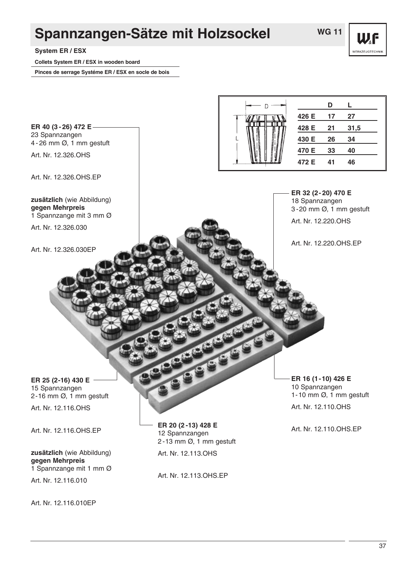### **Spannzangen-Sätze mit Holzsockel**

**W.F WERKZEUGTECHN** 

**System ER / ESX**

**ER 40 (3-26) 472 E** 23 Spannzangen

Art. Nr. 12.326.OHS

**gegen Mehrpreis**

Art. Nr. 12.326.030

Art. Nr. 12.326.030EP

Art. Nr. 12.326.OHS.EP

**zusätzlich** (wie Abbildung)

1 Spannzange mit 3 mm Ø

4-26 mm Ø, 1 mm gestuft

**Collets System ER / ESX in wooden board**

**Pinces de serrage Systéme ER / ESX en socle de bois**

**D L**  $\Gamma$ **426 E 17 27 428 E 21 31,5 430 E 26 34 470 E 33 40 472 E 41 46**

> **ER 32 (2-20) 470 E** 18 Spannzangen 3-20 mm Ø, 1 mm gestuft

Art. Nr. 12.220.OHS

Art. Nr. 12.220.OHS.EP

**ER 25 (2-16) 430 E** 15 Spannzangen 2-16 mm Ø, 1 mm gestuft

Art. Nr. 12.116.OHS

Art. Nr. 12.116.OHS.EP

**zusätzlich** (wie Abbildung) **gegen Mehrpreis** 1 Spannzange mit 1 mm Ø

Art. Nr. 12.116.010

Art. Nr. 12.116.010EP

**ER 20 (2-13) 428 E** 12 Spannzangen 2-13 mm Ø, 1 mm gestuft Art. Nr. 12.113.OHS

Art. Nr. 12.113.OHS.EP

**ER 16 (1-10) 426 E** 10 Spannzangen 1-10 mm Ø, 1 mm gestuft

Art. Nr. 12.110.OHS

Art. Nr. 12.110.OHS.EP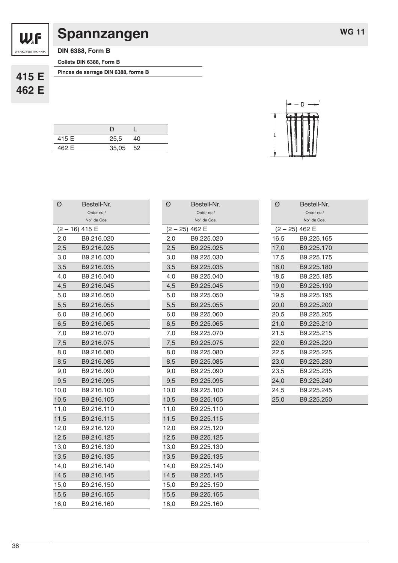![](_page_37_Picture_0.jpeg)

### **Spannzangen**

**WG 11**

**DIN 6388, Form B**

**Collets DIN 6388, Form B**

**415 E 462 E** **Pinces de serrage DIN 6388, forme B**

| 415 E | 25.5     | 40 |
|-------|----------|----|
| 462 E | 35,05 52 |    |
|       |          |    |

| Ø    | Bestell-Nr.      |
|------|------------------|
|      | Order no /       |
|      | No° de Cde.      |
|      | $(2 - 16)$ 415 E |
| 2,0  | B9.216.020       |
| 2,5  | B9.216.025       |
| 3,0  | B9.216.030       |
| 3,5  | B9.216.035       |
| 4,0  | B9.216.040       |
| 4,5  | B9.216.045       |
| 5,0  | B9.216.050       |
| 5,5  | B9.216.055       |
| 6,0  | B9.216.060       |
| 6,5  | B9.216.065       |
| 7,0  | B9.216.070       |
| 7,5  | B9.216.075       |
| 8,0  | B9.216.080       |
| 8,5  | B9.216.085       |
| 9,0  | B9.216.090       |
| 9,5  | B9.216.095       |
| 10,0 | B9.216.100       |
| 10,5 | B9.216.105       |
| 11,0 | B9.216.110       |
| 11,5 | B9.216.115       |
| 12,0 | B9.216.120       |
| 12,5 | B9.216.125       |
| 13,0 | B9.216.130       |
| 13,5 | B9.216.135       |
| 14,0 | B9.216.140       |
| 14,5 | B9.216.145       |
| 15,0 | B9.216.150       |
| 15,5 | B9.216.155       |
| 16,0 | B9.216.160       |

| Ø    | Bestell-Nr.    |
|------|----------------|
|      | Order no /     |
|      | No° de Cde.    |
|      | (2 - 25) 462 E |
| 2,0  | B9.225.020     |
| 2,5  | B9.225.025     |
| 3,0  | B9.225.030     |
| 3,5  | B9.225.035     |
| 4,0  | B9.225.040     |
| 4,5  | B9.225.045     |
| 5,0  | B9.225.050     |
| 5,5  | B9.225.055     |
| 6,0  | B9.225.060     |
| 6,5  | B9.225.065     |
| 7,0  | B9.225.070     |
| 7,5  | B9.225.075     |
| 8,0  | B9.225.080     |
| 8,5  | B9.225.085     |
| 9,0  | B9.225.090     |
| 9,5  | B9.225.095     |
| 10,0 | B9.225.100     |
| 10,5 | B9.225.105     |
| 11,0 | B9.225.110     |
| 11,5 | B9.225.115     |
| 12,0 | B9.225.120     |
| 12,5 | B9.225.125     |
| 13,0 | B9.225.130     |
| 13,5 | B9.225.135     |
| 14,0 | B9.225.140     |
| 14,5 | B9.225.145     |
| 15,0 | B9.225.150     |
| 15,5 | B9.225.155     |
| 16,0 | B9.225.160     |
|      |                |

![](_page_37_Picture_10.jpeg)

| Ø                | Bestell-Nr. |
|------------------|-------------|
|                  | Order no /  |
|                  | No° de Cde. |
| $(2 - 25)$ 462 E |             |
| 16,5             | B9.225.165  |
| 17,0             | B9.225.170  |
| 17,5             | B9.225.175  |
| 18,0             | B9.225.180  |
| 18,5             | B9.225.185  |
| 19,0             | B9.225.190  |
| 19,5             | B9.225.195  |
| 20,0             | B9.225.200  |
| 20,5             | B9.225.205  |
| 21,0             | B9.225.210  |
| 21,5             | B9.225.215  |
| 22,0             | B9.225.220  |
| 22,5             | B9.225.225  |
| 23,0             | B9.225.230  |
| 23,5             | B9.225.235  |
| 24,0             | B9.225.240  |
| 24,5             | B9.225.245  |
| 25,0             | B9.225.250  |
|                  |             |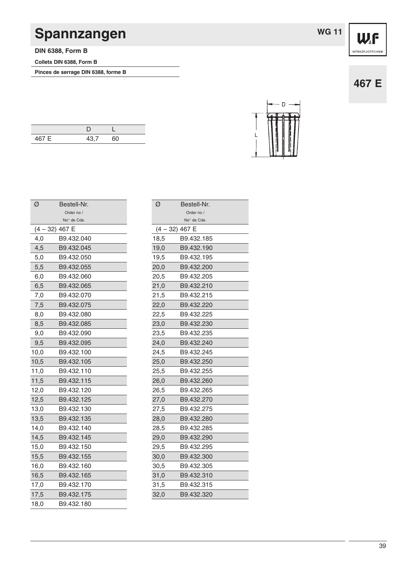# **Spannzangen**

**DIN 6388, Form B**

**Collets DIN 6388, Form B**

**Pinces de serrage DIN 6388, forme B**

|  | WG 11 |  |
|--|-------|--|
|  |       |  |

**467 E**

- D

| 467 E | 12 7 | 60 |
|-------|------|----|

| Bestell-Nr.<br>Ø |      |             |
|------------------|------|-------------|
|                  |      | Order no /  |
|                  |      | No° de Cde. |
|                  | (4 - | - 32) 467 E |
|                  | 4,0  | B9.432.040  |
|                  | 4,5  | B9.432.045  |
|                  | 5,0  | B9.432.050  |
|                  | 5,5  | B9.432.055  |
|                  | 6,0  | B9.432.060  |
|                  | 6,5  | B9.432.065  |
|                  | 7,0  | B9.432.070  |
|                  | 7,5  | B9.432.075  |
|                  | 8,0  | B9.432.080  |
|                  | 8,5  | B9.432.085  |
|                  | 9,0  | B9.432.090  |
|                  | 9,5  | B9.432.095  |
|                  | 10,0 | B9.432.100  |
|                  | 10,5 | B9.432.105  |
|                  | 11,0 | B9.432.110  |
|                  | 11,5 | B9.432.115  |
|                  | 12,0 | B9.432.120  |
|                  | 12,5 | B9.432.125  |
|                  | 13,0 | B9.432.130  |
|                  | 13,5 | B9.432.135  |
|                  | 14,0 | B9.432.140  |
|                  | 14,5 | B9.432.145  |
|                  | 15,0 | B9.432.150  |
|                  | 15,5 | B9.432.155  |
|                  | 16,0 | B9.432.160  |
|                  | 16,5 | B9.432.165  |
|                  | 17,0 | B9.432.170  |
|                  | 17,5 | B9.432.175  |
|                  | 18,0 | B9.432.180  |
|                  |      |             |

| Ø    | Bestell-Nr.    |  |
|------|----------------|--|
|      | Order no /     |  |
|      | No° de Cde.    |  |
|      | (4 – 32) 467 E |  |
| 18,5 | B9.432.185     |  |
| 19,0 | B9.432.190     |  |
| 19,5 | B9.432.195     |  |
| 20,0 | B9.432.200     |  |
| 20,5 | B9.432.205     |  |
| 21,0 | B9.432.210     |  |
| 21,5 | B9.432.215     |  |
| 22,0 | B9.432.220     |  |
| 22,5 | B9.432.225     |  |
| 23,0 | B9.432.230     |  |
| 23,5 | B9.432.235     |  |
| 24,0 | B9.432.240     |  |
| 24,5 | B9.432.245     |  |
| 25,0 | B9.432.250     |  |
| 25,5 | B9.432.255     |  |
| 26,0 | B9.432.260     |  |
| 26,5 | B9.432.265     |  |
| 27,0 | B9.432.270     |  |
| 27,5 | B9.432.275     |  |
| 28,0 | B9.432.280     |  |
| 28,5 | B9.432.285     |  |
| 29,0 | B9.432.290     |  |
| 29,5 | B9.432.295     |  |
| 30,0 | B9.432.300     |  |
| 30,5 | B9.432.305     |  |
| 31,0 | B9.432.310     |  |
| 31,5 | B9.432.315     |  |
| 32,0 | B9.432.320     |  |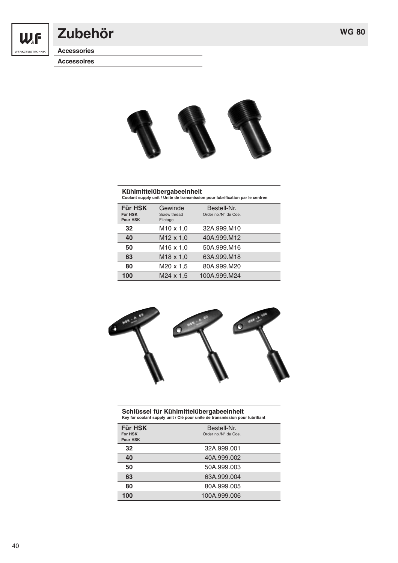![](_page_39_Picture_1.jpeg)

### **Zubehör**

**Accessories**

**Accessoires**

![](_page_39_Picture_5.jpeg)

### **Kühlmittelübergabeeinheit Coolant supply unit / Unite de transmission pour lubrification par le centren**

| <b>Für HSK</b><br>For HSK<br>Pour HSK | Gewinde<br>Screw thread<br>Filetage | Bestell-Nr.<br>Order no./N° de Cde. |  |
|---------------------------------------|-------------------------------------|-------------------------------------|--|
| 32                                    | $M10 \times 1.0$                    | 32A.999.M10                         |  |
| 40                                    | $M12 \times 1.0$                    | 40A.999.M12                         |  |
| 50                                    | $M16 \times 1.0$                    | 50A.999.M16                         |  |
| 63                                    | M <sub>18</sub> x 1,0               | 63A.999.M18                         |  |
| 80                                    | $M20 \times 1,5$                    | 80A.999.M20                         |  |
| 100                                   | $M24 \times 1.5$                    | 100A.999.M24                        |  |

![](_page_39_Picture_8.jpeg)

### **Schlüssel für Kühlmittelübergabeeinheit Key for coolant supply unit / Clé pour unite de transmission pour lubrifiant**

| Für HSK<br>For HSK<br>Pour HSK | Bestell-Nr.<br>Order no./N° de Cde. |
|--------------------------------|-------------------------------------|
| 32                             | 32A.999.001                         |
| 40                             | 40A.999.002                         |
| 50                             | 50A.999.003                         |
| 63                             | 63A.999.004                         |
| 80                             | 80A.999.005                         |
| 100                            | 100A.999.006                        |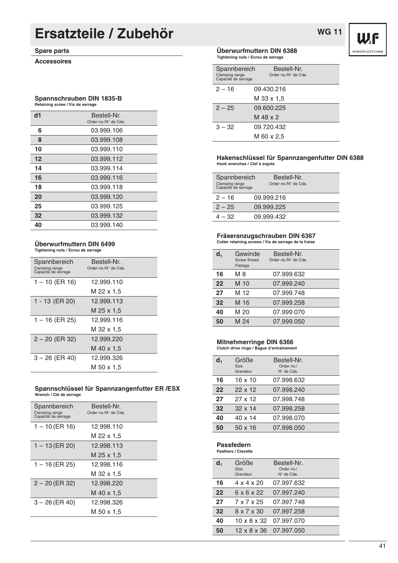### **Ersatzteile / Zubehör**

#### **Spare parts**

**Accessoires**

#### **Spannschrauben DIN 1835-B Retaining screw / Vis de serrage**

| d1 | Bestell-Nr.<br>Order no./N° de Cde. |
|----|-------------------------------------|
| 6  | 03.999.106                          |
| 8  | 03.999.108                          |
| 10 | 03.999.110                          |
| 12 | 03.999.112                          |
| 14 | 03.999.114                          |
| 16 | 03.999.116                          |
| 18 | 03.999.118                          |
| 20 | 03.999.120                          |
| 25 | 03.999.125                          |
| 32 | 03.999.132                          |
| 40 | 03.999.140                          |

#### **Überwurfmuttern DIN 6499 Tightening nuts / Ecrou de serrage**

| Spannbereich<br>Clamping range<br>Capacitè de serrage | Bestell-Nr.<br>Order no./N° de Cde. |  |
|-------------------------------------------------------|-------------------------------------|--|
| $1 - 10$ (ER 16)                                      | 12.999.110                          |  |
|                                                       | M 22 x 1.5                          |  |
| 1 - 13 (ER 20)                                        | 12.999.113                          |  |
|                                                       | M 25 x 1.5                          |  |
| 1 – 16 (ER 25)                                        | 12.999.116                          |  |
|                                                       | M 32 x 1,5                          |  |
| $2 - 20$ (ER 32)                                      | 12.999.220                          |  |
|                                                       | M 40 x 1.5                          |  |
| $3 - 26$ (ER 40)                                      | 12.999.326                          |  |
|                                                       | M 50 x 1.5                          |  |

### **Spannschlüssel für Spannzangenfutter ER /ESX Wrench / Clé de serrage**

| Spannbereich<br>Clamping range<br>Capacitè de serrage | Bestell-Nr.<br>Order no./N° de Cde. |  |
|-------------------------------------------------------|-------------------------------------|--|
| $1 - 10$ (ER 16)                                      | 12.998.110                          |  |
|                                                       | M 22 x 1.5                          |  |
| $1 - 13$ (ER 20)                                      | 12.998.113                          |  |
|                                                       | M 25 x 1.5                          |  |
| $1 - 16$ (ER 25)                                      | 12.998.116                          |  |
|                                                       | M 32 x 1.5                          |  |
| $2 - 20$ (ER 32)                                      | 12.998.220                          |  |
|                                                       | M 40 x 1.5                          |  |
| $3 - 26$ (ER 40)                                      | 12.998.326                          |  |
|                                                       | M 50 x 1.5                          |  |

#### **Überwurfmuttern DIN 6388 Tightening nuts / Ecrou de serrage**

| Spannbereich<br>Clamping range<br>Capacitè de serrage | Bestell-Nr.<br>Order no./N° de Cde. |
|-------------------------------------------------------|-------------------------------------|
| $2 - 16$                                              | 09.430.216                          |
|                                                       | M 33 x 1.5                          |
| $2 - 25$                                              | 09.600.225                          |
|                                                       | M 48 x 2                            |
| $3 - 32$                                              | 09.720.432                          |
|                                                       | M 60 x 2.5                          |

#### **Hakenschlüssel für Spannzangenfutter DIN 6388 Hook wrenches / Clef à ergots**

| Spannbereich<br>Clamping range<br>Capacitè de serrage | Bestell-Nr.<br>Order no./N° de Cde. |
|-------------------------------------------------------|-------------------------------------|
| $2 - 16$                                              | 09.999.216                          |
| $2 - 25$                                              | 09.999.225                          |
| 4 – 32                                                | 09.999.432                          |

#### **Fräseranzugschrauben DIN 6367**

**Cutter retaining screws / Vis de serrage de la fraise**

| d, | Gewinde<br>Screw thread<br>Filetage | Bestell-Nr.<br>Order no./N° de Cde. |  |
|----|-------------------------------------|-------------------------------------|--|
| 16 | M 8                                 | 07.999.632                          |  |
| 22 | M 10                                | 07.999.240                          |  |
| 27 | M 12                                | 07.999.748                          |  |
| 32 | M 16                                | 07.999.258                          |  |
| 40 | M 20                                | 07.999.070                          |  |
| 50 | M 24                                | 07.999.050                          |  |
|    |                                     |                                     |  |

#### **Mitnehmerringe DIN 6366**

#### **Clutch drive rings / Bague d'entraînement**

| $d_{1}$ | Größe<br>Size<br>Grandeur | Bestell-Nr.<br>Order no./<br>$N^{\circ}$ de Cde. |  |
|---------|---------------------------|--------------------------------------------------|--|
| 16      | $16 \times 10$            | 07.998.632                                       |  |
| 22      | $22 \times 12$            | 07,998.240                                       |  |
| 27      | 27 x 12                   | 07.998.748                                       |  |
| 32      | $32 \times 14$            | 07,998,258                                       |  |
| 40      | 40 x 14                   | 07.998.070                                       |  |
| 50      | 50 x 16                   | 07.998.050                                       |  |

#### **Passfedern**

**Feathers / Clavette**

| d, | Größe<br>Size<br>Grandeur | Bestell-Nr.<br>Order no./<br>$N^{\circ}$ de Cde. |  |
|----|---------------------------|--------------------------------------------------|--|
| 16 | $4 \times 4 \times 20$    | 07,997.632                                       |  |
| 22 | 6 x 6 x 22                | 07.997.240                                       |  |
| 27 | 7 x 7 x 25                | 07,997.748                                       |  |
| 32 | $8 \times 7 \times 30$    | 07.997.258                                       |  |
| 40 |                           | 10 x 8 x 32 07.997.070                           |  |
| 50 |                           | 12 x 8 x 36 07.997.050                           |  |

![](_page_40_Picture_22.jpeg)

**WG 11**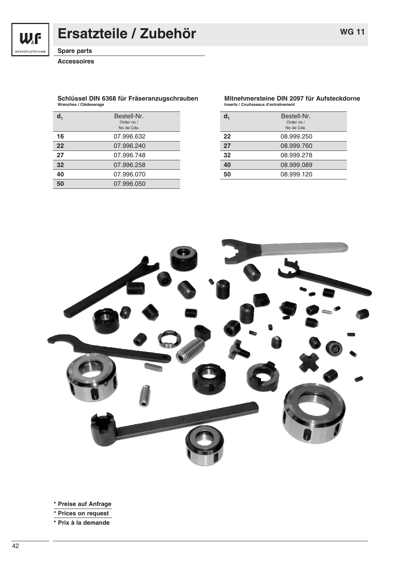W.F

WERKZEUGTECHNIK

### **Ersatzteile / Zubehör**

**Spare parts**

**Accessoires**

#### **Schlüssel DIN 6368 für Fräseranzugschrauben Wrenches / Clédeserage**

| 07.996.632<br>16<br>22<br>07.996.240<br>27<br>07.996.748<br>32<br>07.996.258<br>07.996.070<br>40 | Bestell-Nr.<br>Order no /<br>No de Cde. |
|--------------------------------------------------------------------------------------------------|-----------------------------------------|
|                                                                                                  |                                         |
|                                                                                                  |                                         |
|                                                                                                  |                                         |
|                                                                                                  |                                         |
|                                                                                                  |                                         |
| 07.996.050<br>50                                                                                 |                                         |

#### **Mitnehmersteine DIN 2097 für Aufsteckdorne Inserts / Coulisseaux d'entraînement**

|    | Bestell-Nr.<br>Order no /<br>No de Cde. |
|----|-----------------------------------------|
| 22 | 08.999.250                              |
| 27 | 08.999.760                              |
| 32 | 08.999.278                              |
| 40 | 08.999.089                              |
| 50 | 08,999.120                              |

![](_page_41_Picture_9.jpeg)

**\* Preise auf Anfrage**

**\* Prices on request**

**\* Prix à la demande**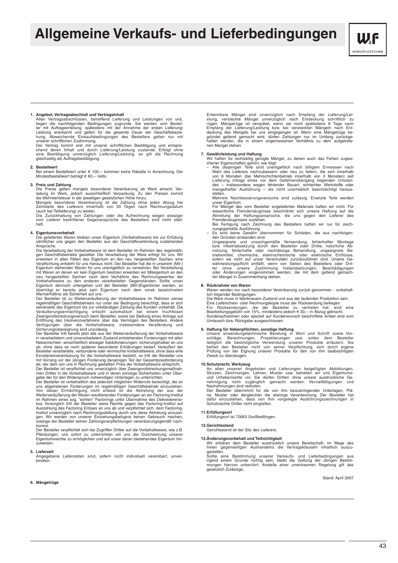### **Allgemeine Verkaufs- und Lieferbedingungen**

![](_page_42_Picture_1.jpeg)

1. Angebot, Vertragsabschluß und Vertragsinhalt<br>
Allem Vertragsabschlüssen, betreffend Lieferung und Leistungen von uns,<br>
Allem Vertragsabschlüssen, betreffend Lieferung und Leistungen vom Bestel-<br>
ler mit Auftragserteilun

**2. Bestellwert**<br>Bei einem Bestellwert unter € 100,-- kommen keine Rabatte in Anrechnung. Der Mindestbestellwert beträgt € 60,-- netto.

3. Preis und Zahlung<br>
Die Preise gelten mangels besonderer Vereinbarung ab Werk einschl. Ver-<br>
Die Preise gelten mangels besonderer Vereinbarung. Zu den Preisen kommt<br>
die Mehrwertsteuer in der jeweiligen gesetzlichen Höhe

(auch bei Teillieferung) zu leisten.<br>Die Zurückhaltung von Zahlungen oder die Aufrechnung wegen etwaiger<br>vom Lieferer bestrittener Gegenansprüche des Bestellers sind nicht statthaft.

#### **4. Eigentumsvorbehalt**

Die gelieferten Waren bleiben unser Eigentum (Vorbehaltsware) bis zur Erfüllung sämtlicher uns gegen den Besteller aus der Geschäftsverbindung zustehenden Ansprüche.

Die Verarbeitung der Vorbehaltsware ist dem Besteller im Rahmen des regelmäßi-<br>gen Geschäftsbetriebs gestattet. Die Verarbeitung der Ware erfolgt für uns. Wir<br>erwerben in allen Fällen das Eigentum an den neu hergestellten Verpflichtung entsteht für uns hieraus nicht. Der Besteller hat die in unserem (Mit-)<br>Eigentum stehenden Waren für uns unentgeltlich zu verwahren. Bei Verarbeitung<br>mit Waren an denen wir kein Eigentum besitzen erwerben wir neu hergestellten Sachen nach dem Verhältnis des Rechnungswertes der<br>Vorbehaltsware zu den anderen verarbeiteten Gegenständen. Sollte unser<br>Eigentum dennoch untergehen und der Besteller (Mit-)Eigentümer werden, so überträgt er bereits jetzt sein Eigentum nach dem vorab bezeichneten Wertverhältnis als Sicherheit auf uns.

Der Besteller ist zu Weiterveräußerung der Vorbehaltsware im Rahmen seines<br>regelmäßigen Geschättsbetriebs nur unter der Bedingung berechtigt, dass er sich<br>seinerseits das Eigentum bis zur vollständigen Zahlung des Kunden v

Sicherungsübereignung sind unzulässig.<br>Der Besteller tritt bereits jetzt alle aus der Weiterveräußerung der Vorbehaltsware<br>in verarbeitetem und unverarbeitetem Zustand entstehenden Forderungen mit allen Nebenrechten -einschließlich etwaiger Saldoforderungen- sicherungshalber an uns ab, ohne dass es noch späterer besonderer Erklärungen bedarf. Veräußert der Besteller verarbeitete, verbundene oder vermischte Vorbehaltsware, ohne dass eine<br>Einzelpreisvereinbarung für die Vorbehaltsware besteht, so tritt der Besteller uns<br>mit Vorrang vor der übrigen Forderung denienigen Teil der

Der Besteller ist vorbehaltlich des jederzeit möglichen Widerrufs berechtigt, die an<br>uns abgetretenen Forderungen im regelmäßigen Geschäftsbetrieb einzuziehen.<br>Von dieser Ermächtigung nicht erfasst ist die Abtretung der au kommt.

Der Besteller verpflichtet sich bei Zugriffen Dritter auf die Vorbehaltsware, wie z.B. Pfändungen, uns sofort zu unterrichten um uns die Durchsetzung unserer Eigentumsrechte zu ermöglichen und auf unser daran bestehendes Eigentum hinzuweisen.

#### **5. Lieferzeit**

Angegebene Lieferzeiten sind, sofern nicht individuell vereinbart, unverbindlich.

#### **6. Mängelrüge**

Erkennbare Mängel sind unverzüglich nach Empfang der Lieferung/Leistung, versteckte Mängel unverzüglich nach Entdeckung schriftlich zu<br>rügen. Mängelrüge ist verspätet, wenn sie nicht spätestens 8 Tage nach<br>Empfang der Lieferung/Leistung bzw. bei versteckten Mängeln nach Entdeckung des Mangels bei uns eingegangen ist. Wenn eine Mängelrüge be-<br>gründet geltend gemacht wird, dürfen Zahlungen nur im Umfang zurückge-<br>halten werden, die in einem angemessenen Verhältnis zu dem aufgetretenen Mangel stehen.

**7. Gewährleistung und Haftung** Wir haften für rechtzeitig gerügte Mängel, zu denen auch das Fehlen zugesi-cherter Eigenschaften gehört, wie folgt:

– Alle diejenigen Teile sind unentgeltlich nach billigem Ermessen nach Wahl des Lieferers nachzubessern oder neu zu liefern, die sich innerhalb von 6 Monaten (bei Mehrschichtenbetrieb innerhalb von 3 Monaten) seit<br>Lieferung infolge eines vor dem Gefahrenübergang liegenden Umstan-<br>des – insbesondere wegen fehlender Bauart, schlechter Werkstoffe oder<br>mangelhafter Au stellen.

Mehrere Nachbesserungsversuche sind zulässig. Ersetzte Teile werden

unser Eigentum. Für Mängel des vom Besteller angelieferten Materials haften wir nicht. Für wesentliche Fremderzeugnisse beschränkt sich unsere Haftung auf die wesentliche Fremderzeugnisse beschränkt sich unsere Haftung auf die Abtretung der Haftungsansprüche, die uns gegen den Lieferer des Fremderzeugnisses zustehen.

Bei Fertigung nach Zeichnung des Bestellers haften wir nur für zeich-nungsgemäße Ausführung.

- Es wird keine Gewähr übernommen für Schäden, die aus nachfolgen-<br>den Gründen enstanden sind:<br>Ungeeignete und unsachgemäße Verwendung, fehlerhafter Montage<br>bzw. Inbetriebsetzung durch den Besteller oder Dritte, natürliche

**8. Rücknahme von Waren** Waren werden nur nach besonderer Vereinbarung zurück genommen - vorbehaltlich folgender Bedingungen:

Die Ware muss in fabrikneuem Zustand und aus der laufenden Produktion sein.

Eine Lieferschein- oder Rechnungskopie muss der Rücksendung beiliegen.<br>Für Rücksendungen, die der Besteller zu vertreten hat, wird eine<br>Bearbeitungsgebühr von 15%, mindestens jedoch € 30,-- in Abzug gebra Sonderaufnahmen oder speziell auf Kundenwunsch beschriftete Artikel sind vom Umtausch bzw. Rückgabe ausgeschlossen.

9. Haftung für Nebenpflichten, sonstige Haftung<br>
Unsere anwendungstechnische Beratung in Wort und Schrift sowie Vor-<br>
schläge, Berechnungen, Projektierungen usw. sollen dem Besteller<br>
lediglich die bestmögliche Verwendung

10.Schutzrecht, Werkzeug<br>An allen unseren Angeboten und Lieferungen beigefügten Abbildungen,<br>Skizzen, Zeichnungen, Lehren, Muster usw. behalten wir uns Eigentums-<br>und Urheberrechte vor. Sie dürfen Dritten ohne unsere ausdr nehmigung nicht zugänglich gemacht werden. Vervielfältigungen und Nachahmungen sind verboten. Der Besteller übernimmt für die von ihm beizubringenden Unterlagen, Plä-

ne, Muster oder dergleichen die alleinige Verantwortung. Der Besteller hat<br>dafür einzustehen, dass von ihm vorgelegte Ausführungszeichnungen in<br>Schutzrechte Dritter nicht eingreifen.

**11.Erfüllungsort** Erfüllungsort ist 72663 Großbettlingen.

**12.Gerichtsstand** Gerichtsstand ist der Sitz des Lieferers.

**13.Anderungsvorbehalt und Teilnichtigkeit**<br>Wir erklären dem Besteller ausdrücklich unsere Bereitschaft, im Wege des<br>freien gegenseitigen Aushandelns die Vertragsklauseln inhaltlich auszu-

gestalten. Sollte eine Bestimmung unserer Verkaufs- und Lieferbedingungen aus irgend einem Grunde nichtig sein, bleibt die Geltung der übrigen Bestim-mungen hiervon unberührt. Anstelle einer unwirksamen Regelung gilt das gesetzlich Zulässige.

Stand: April 2007